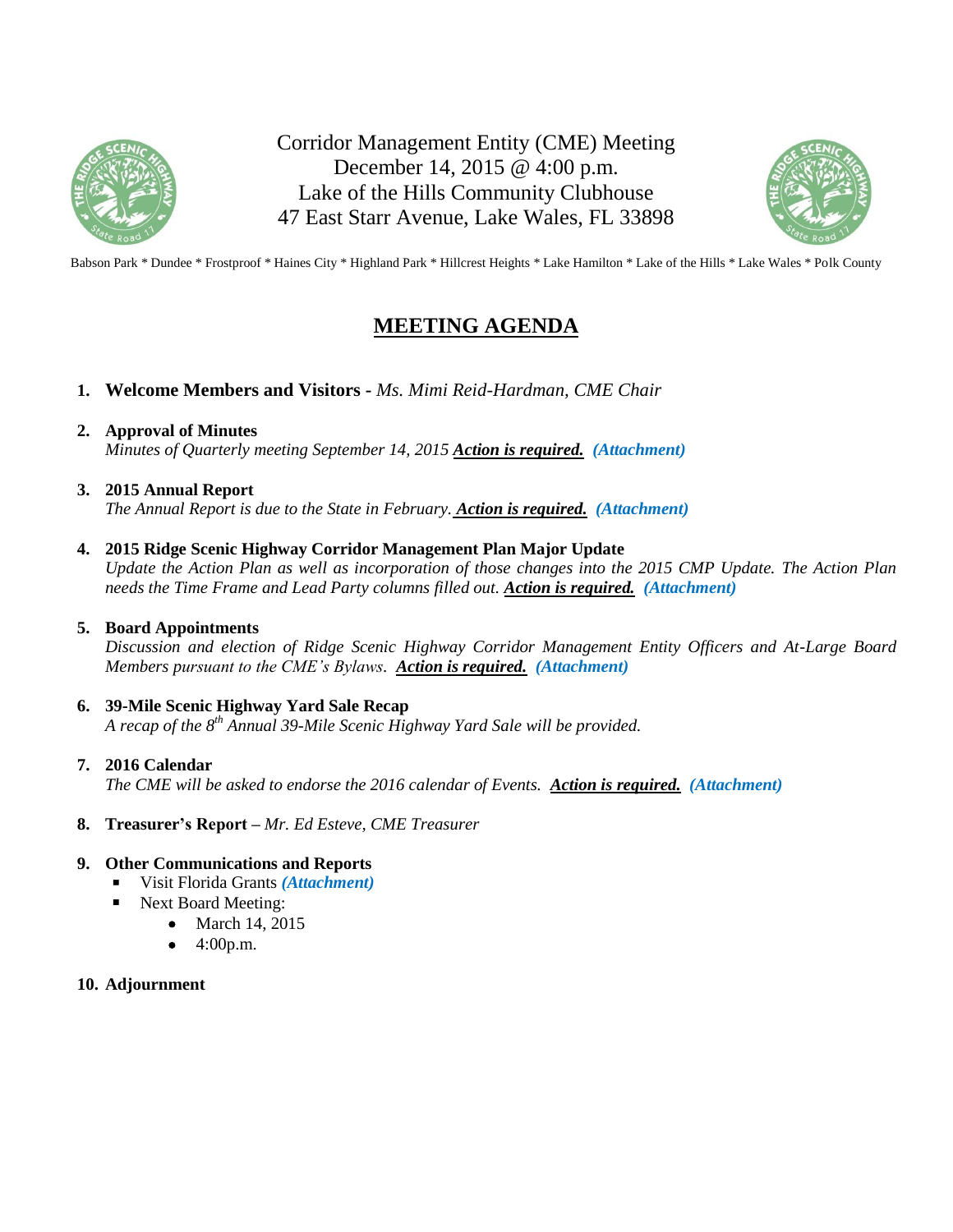

Corridor Management Entity (CME) Meeting December 14, 2015 @ 4:00 p.m. Lake of the Hills Community Clubhouse 47 East Starr Avenue, Lake Wales, FL 33898



Babson Park \* Dundee \* Frostproof \* Haines City \* Highland Park \* Hillcrest Heights \* Lake Hamilton \* Lake of the Hills \* Lake Wales \* Polk County

# **MEETING AGENDA**

**1. Welcome Members and Visitors -** *Ms. Mimi Reid-Hardman, CME Chair*

## **2. Approval of Minutes**

*Minutes of Quarterly meeting September 14, 2015 Action is required. (Attachment)*

#### **3. 2015 Annual Report**

*The Annual Report is due to the State in February. Action is required. (Attachment)*

## **4. 2015 Ridge Scenic Highway Corridor Management Plan Major Update**

*Update the Action Plan as well as incorporation of those changes into the 2015 CMP Update. The Action Plan needs the Time Frame and Lead Party columns filled out. Action is required. (Attachment)*

#### **5. Board Appointments**

*Discussion and election of Ridge Scenic Highway Corridor Management Entity Officers and At-Large Board Members pursuant to the CME's Bylaws. Action is required. (Attachment)*

# **6. 39-Mile Scenic Highway Yard Sale Recap**

*A recap of the 8th Annual 39-Mile Scenic Highway Yard Sale will be provided.* 

#### **7. 2016 Calendar**

*The CME will be asked to endorse the 2016 calendar of Events. Action is required. (Attachment)* 

#### **8. Treasurer's Report –** *Mr. Ed Esteve, CME Treasurer*

#### **9. Other Communications and Reports**

- Visit Florida Grants *(Attachment)*
- Next Board Meeting:
	- March 14, 2015
	- 4:00p.m.

#### **10. Adjournment**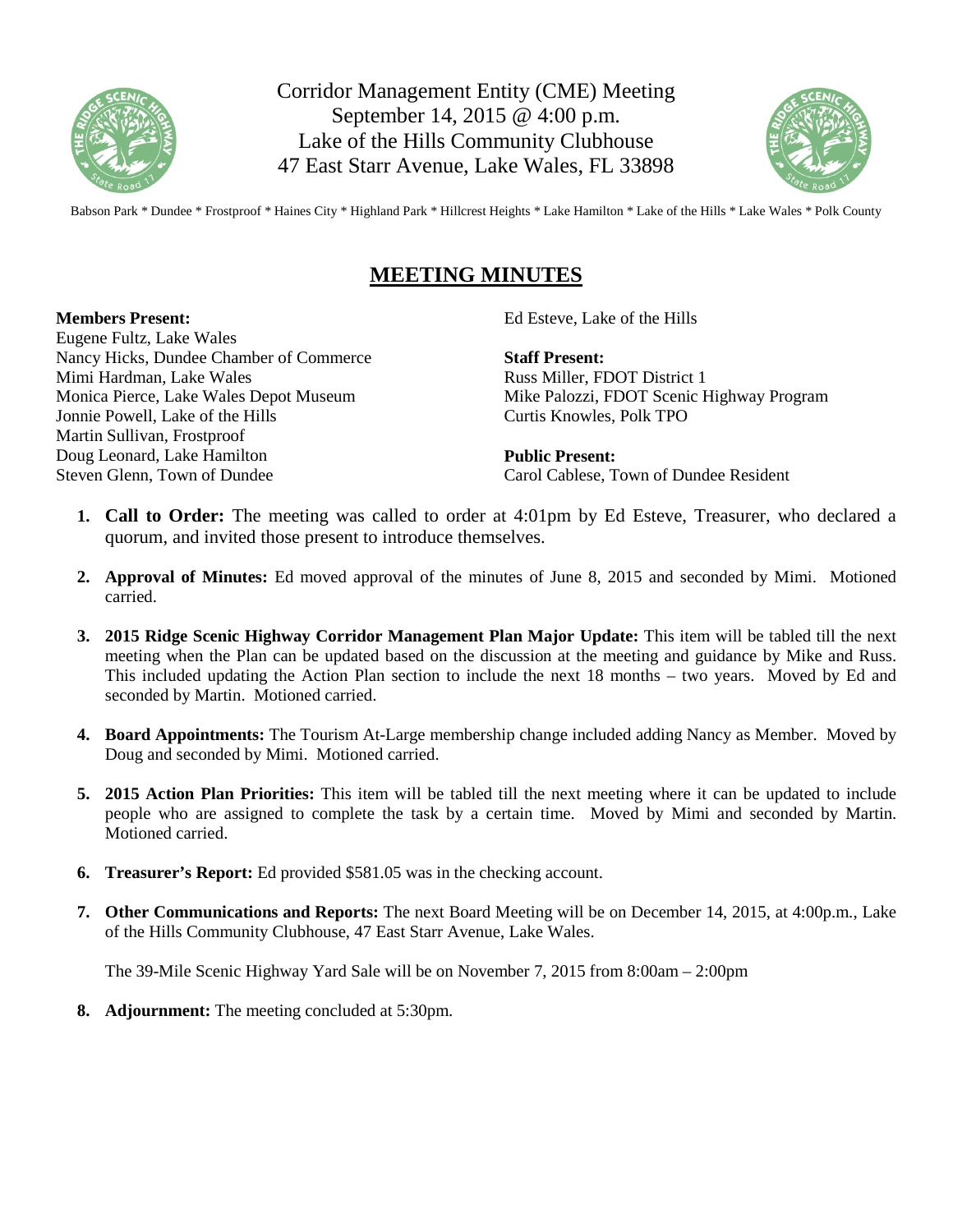

Corridor Management Entity (CME) Meeting September 14, 2015 @ 4:00 p.m. Lake of the Hills Community Clubhouse 47 East Starr Avenue, Lake Wales, FL 33898



Babson Park \* Dundee \* Frostproof \* Haines City \* Highland Park \* Hillcrest Heights \* Lake Hamilton \* Lake of the Hills \* Lake Wales \* Polk County

# **MEETING MINUTES**

#### **Members Present:**

Eugene Fultz, Lake Wales Nancy Hicks, Dundee Chamber of Commerce Mimi Hardman, Lake Wales Monica Pierce, Lake Wales Depot Museum Jonnie Powell, Lake of the Hills Martin Sullivan, Frostproof Doug Leonard, Lake Hamilton Steven Glenn, Town of Dundee

Ed Esteve, Lake of the Hills

**Staff Present:** Russ Miller, FDOT District 1 Mike Palozzi, FDOT Scenic Highway Program Curtis Knowles, Polk TPO

**Public Present:** Carol Cablese, Town of Dundee Resident

- **1. Call to Order:** The meeting was called to order at 4:01pm by Ed Esteve, Treasurer, who declared a quorum, and invited those present to introduce themselves.
- **2. Approval of Minutes:** Ed moved approval of the minutes of June 8, 2015 and seconded by Mimi. Motioned carried.
- **3. 2015 Ridge Scenic Highway Corridor Management Plan Major Update:** This item will be tabled till the next meeting when the Plan can be updated based on the discussion at the meeting and guidance by Mike and Russ. This included updating the Action Plan section to include the next 18 months – two years. Moved by Ed and seconded by Martin. Motioned carried.
- **4. Board Appointments:** The Tourism At-Large membership change included adding Nancy as Member. Moved by Doug and seconded by Mimi. Motioned carried.
- **5. 2015 Action Plan Priorities:** This item will be tabled till the next meeting where it can be updated to include people who are assigned to complete the task by a certain time. Moved by Mimi and seconded by Martin. Motioned carried.
- **6. Treasurer's Report:** Ed provided \$581.05 was in the checking account.
- **7. Other Communications and Reports:** The next Board Meeting will be on December 14, 2015, at 4:00p.m., Lake of the Hills Community Clubhouse, 47 East Starr Avenue, Lake Wales.

The 39-Mile Scenic Highway Yard Sale will be on November 7, 2015 from 8:00am – 2:00pm

**8. Adjournment:** The meeting concluded at 5:30pm.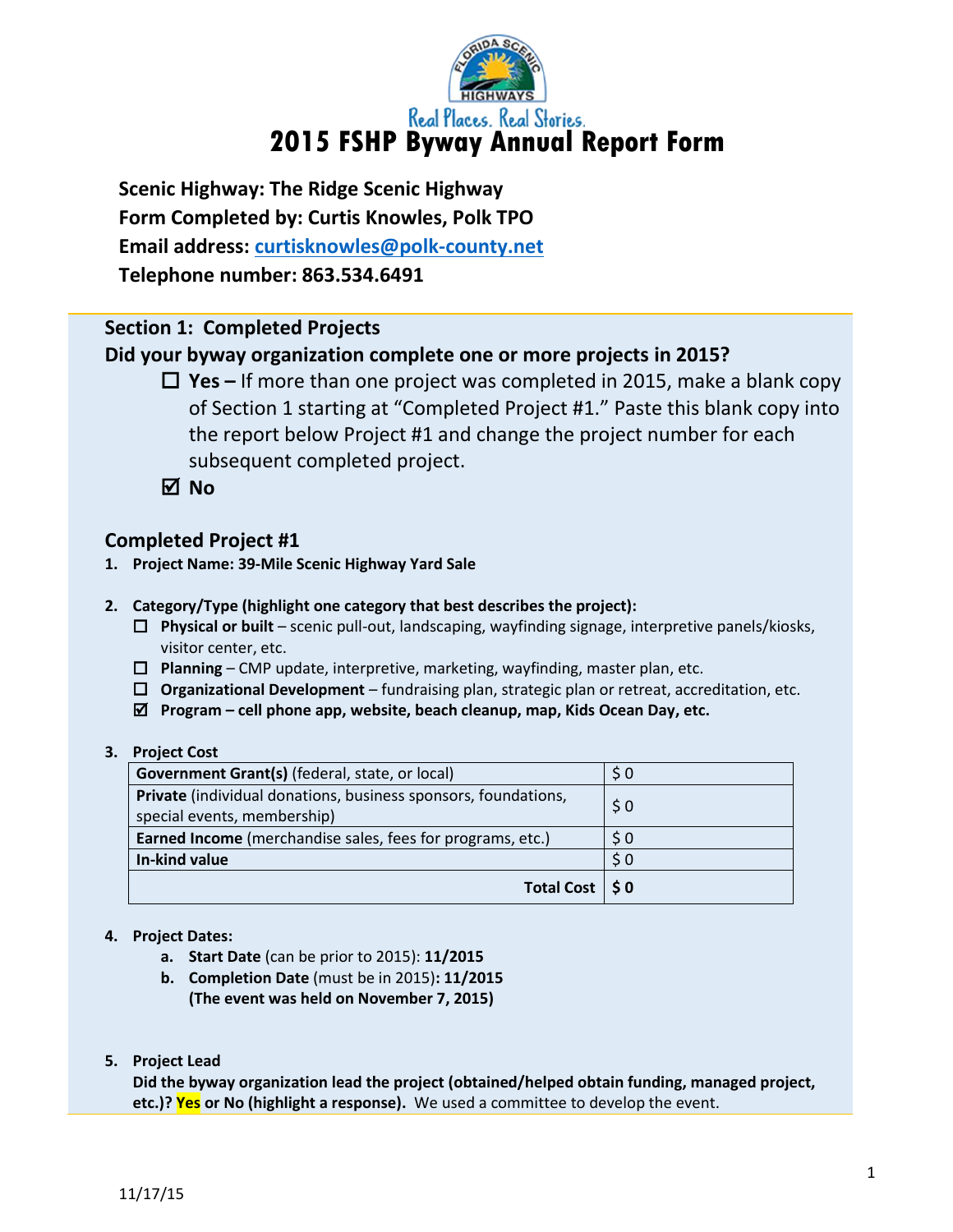

**Scenic Highway: The Ridge Scenic Highway Form Completed by: Curtis Knowles, Polk TPO Email address: [curtisknowles@polk-county.net](mailto:curtisknowles@polk-county.net) Telephone number: 863.534.6491**

# **Section 1: Completed Projects**

# **Did your byway organization complete one or more projects in 2015?**

 **Yes –** If more than one project was completed in 2015, make a blank copy of Section 1 starting at "Completed Project #1." Paste this blank copy into the report below Project #1 and change the project number for each subsequent completed project.

**No**

# **Completed Project #1**

- **1. Project Name: 39-Mile Scenic Highway Yard Sale**
- **2. Category/Type (highlight one category that best describes the project):**
	- **Physical or built** scenic pull-out, landscaping, wayfinding signage, interpretive panels/kiosks, visitor center, etc.
	- **Planning** CMP update, interpretive, marketing, wayfinding, master plan, etc.
	- **Organizational Development** fundraising plan, strategic plan or retreat, accreditation, etc.
	- **Program – cell phone app, website, beach cleanup, map, Kids Ocean Day, etc.**

#### **3. Project Cost**

| Government Grant(s) (federal, state, or local)                        | \$0       |
|-----------------------------------------------------------------------|-----------|
| <b>Private</b> (individual donations, business sponsors, foundations, | \$0       |
| special events, membership)                                           |           |
| <b>Earned Income</b> (merchandise sales, fees for programs, etc.)     | $\zeta$ 0 |
| In-kind value                                                         | \$0       |
| Total Cost   \$0                                                      |           |

# **4. Project Dates:**

- **a. Start Date** (can be prior to 2015): **11/2015**
- **b. Completion Date** (must be in 2015)**: 11/2015 (The event was held on November 7, 2015)**
- **5. Project Lead**

**Did the byway organization lead the project (obtained/helped obtain funding, managed project, etc.)? Yes or No (highlight a response).** We used a committee to develop the event.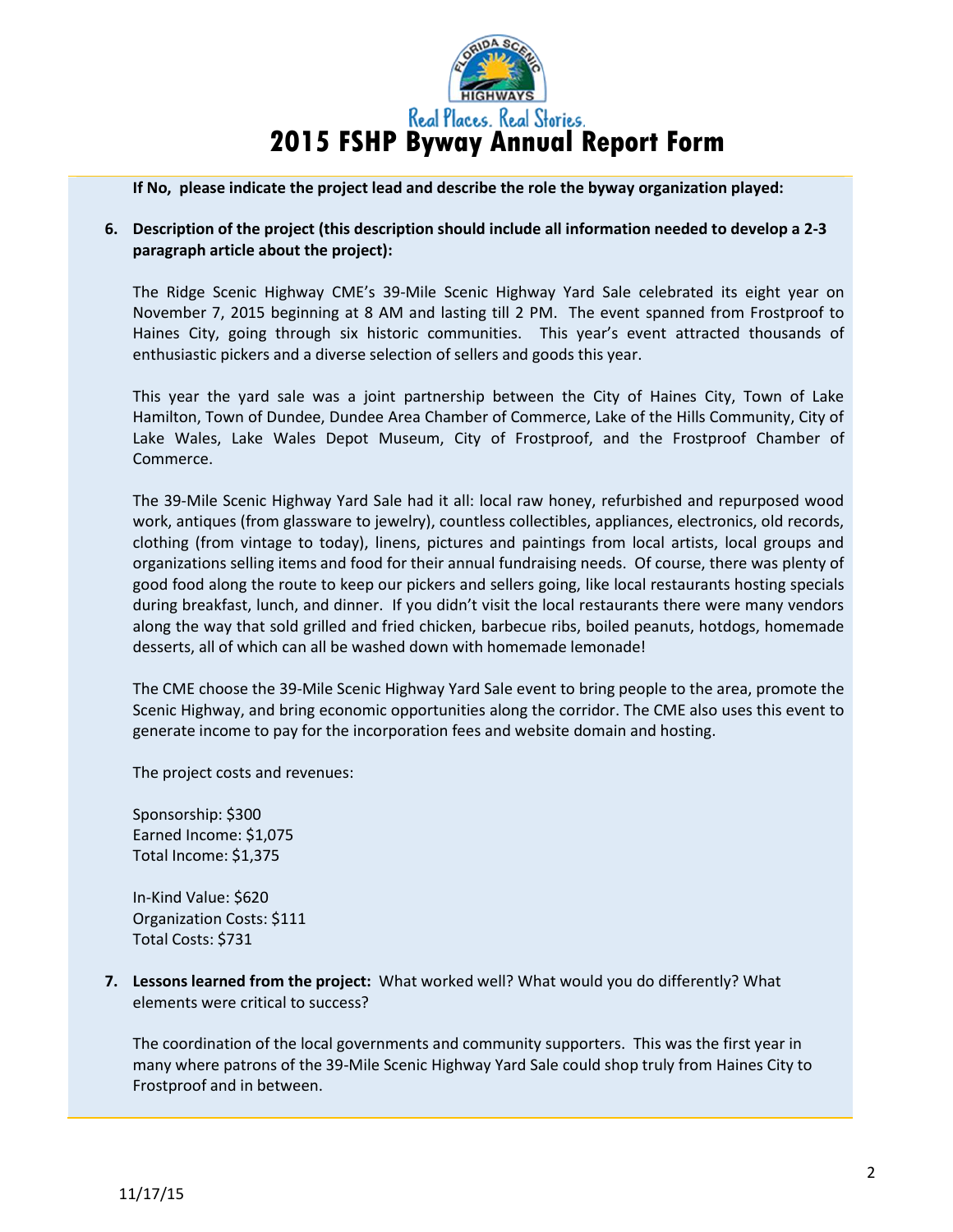

**If No, please indicate the project lead and describe the role the byway organization played:** 

## **6. Description of the project (this description should include all information needed to develop a 2-3 paragraph article about the project):**

The Ridge Scenic Highway CME's 39-Mile Scenic Highway Yard Sale celebrated its eight year on November 7, 2015 beginning at 8 AM and lasting till 2 PM. The event spanned from Frostproof to Haines City, going through six historic communities. This year's event attracted thousands of enthusiastic pickers and a diverse selection of sellers and goods this year.

This year the yard sale was a joint partnership between the City of Haines City, Town of Lake Hamilton, Town of Dundee, Dundee Area Chamber of Commerce, Lake of the Hills Community, City of Lake Wales, Lake Wales Depot Museum, City of Frostproof, and the Frostproof Chamber of Commerce.

The 39-Mile Scenic Highway Yard Sale had it all: local raw honey, refurbished and repurposed wood work, antiques (from glassware to jewelry), countless collectibles, appliances, electronics, old records, clothing (from vintage to today), linens, pictures and paintings from local artists, local groups and organizations selling items and food for their annual fundraising needs. Of course, there was plenty of good food along the route to keep our pickers and sellers going, like local restaurants hosting specials during breakfast, lunch, and dinner. If you didn't visit the local restaurants there were many vendors along the way that sold grilled and fried chicken, barbecue ribs, boiled peanuts, hotdogs, homemade desserts, all of which can all be washed down with homemade lemonade!

The CME choose the 39-Mile Scenic Highway Yard Sale event to bring people to the area, promote the Scenic Highway, and bring economic opportunities along the corridor. The CME also uses this event to generate income to pay for the incorporation fees and website domain and hosting.

The project costs and revenues:

Sponsorship: \$300 Earned Income: \$1,075 Total Income: \$1,375

In-Kind Value: \$620 Organization Costs: \$111 Total Costs: \$731

**7. Lessons learned from the project:** What worked well? What would you do differently? What elements were critical to success?

The coordination of the local governments and community supporters. This was the first year in many where patrons of the 39-Mile Scenic Highway Yard Sale could shop truly from Haines City to Frostproof and in between.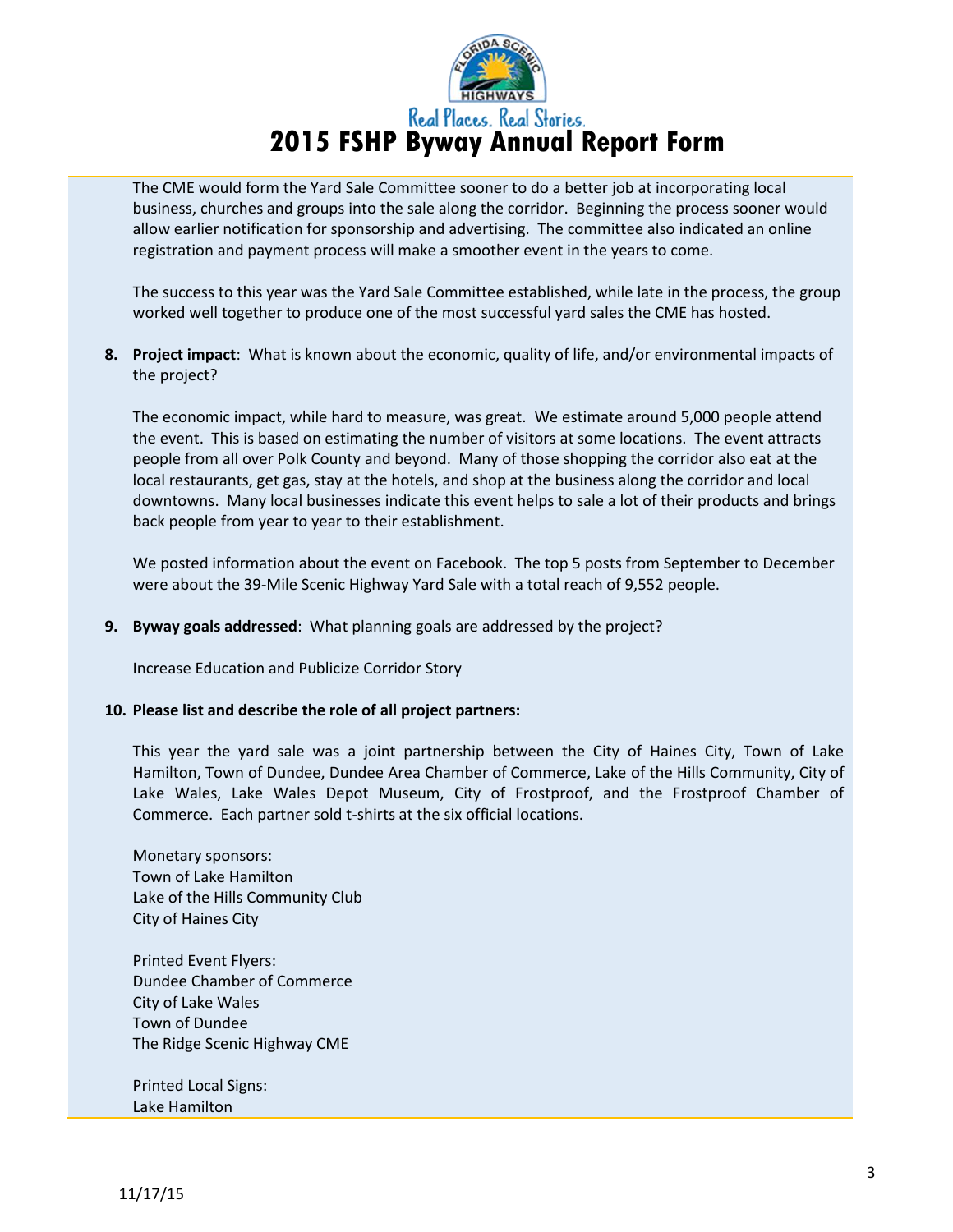

The CME would form the Yard Sale Committee sooner to do a better job at incorporating local business, churches and groups into the sale along the corridor. Beginning the process sooner would allow earlier notification for sponsorship and advertising. The committee also indicated an online registration and payment process will make a smoother event in the years to come.

The success to this year was the Yard Sale Committee established, while late in the process, the group worked well together to produce one of the most successful yard sales the CME has hosted.

**8. Project impact**: What is known about the economic, quality of life, and/or environmental impacts of the project?

The economic impact, while hard to measure, was great. We estimate around 5,000 people attend the event. This is based on estimating the number of visitors at some locations. The event attracts people from all over Polk County and beyond. Many of those shopping the corridor also eat at the local restaurants, get gas, stay at the hotels, and shop at the business along the corridor and local downtowns. Many local businesses indicate this event helps to sale a lot of their products and brings back people from year to year to their establishment.

We posted information about the event on Facebook. The top 5 posts from September to December were about the 39-Mile Scenic Highway Yard Sale with a total reach of 9,552 people.

**9. Byway goals addressed**: What planning goals are addressed by the project?

Increase Education and Publicize Corridor Story

#### **10. Please list and describe the role of all project partners:**

This year the yard sale was a joint partnership between the City of Haines City, Town of Lake Hamilton, Town of Dundee, Dundee Area Chamber of Commerce, Lake of the Hills Community, City of Lake Wales, Lake Wales Depot Museum, City of Frostproof, and the Frostproof Chamber of Commerce. Each partner sold t-shirts at the six official locations.

Monetary sponsors: Town of Lake Hamilton Lake of the Hills Community Club City of Haines City

Printed Event Flyers: Dundee Chamber of Commerce City of Lake Wales Town of Dundee The Ridge Scenic Highway CME

Printed Local Signs: Lake Hamilton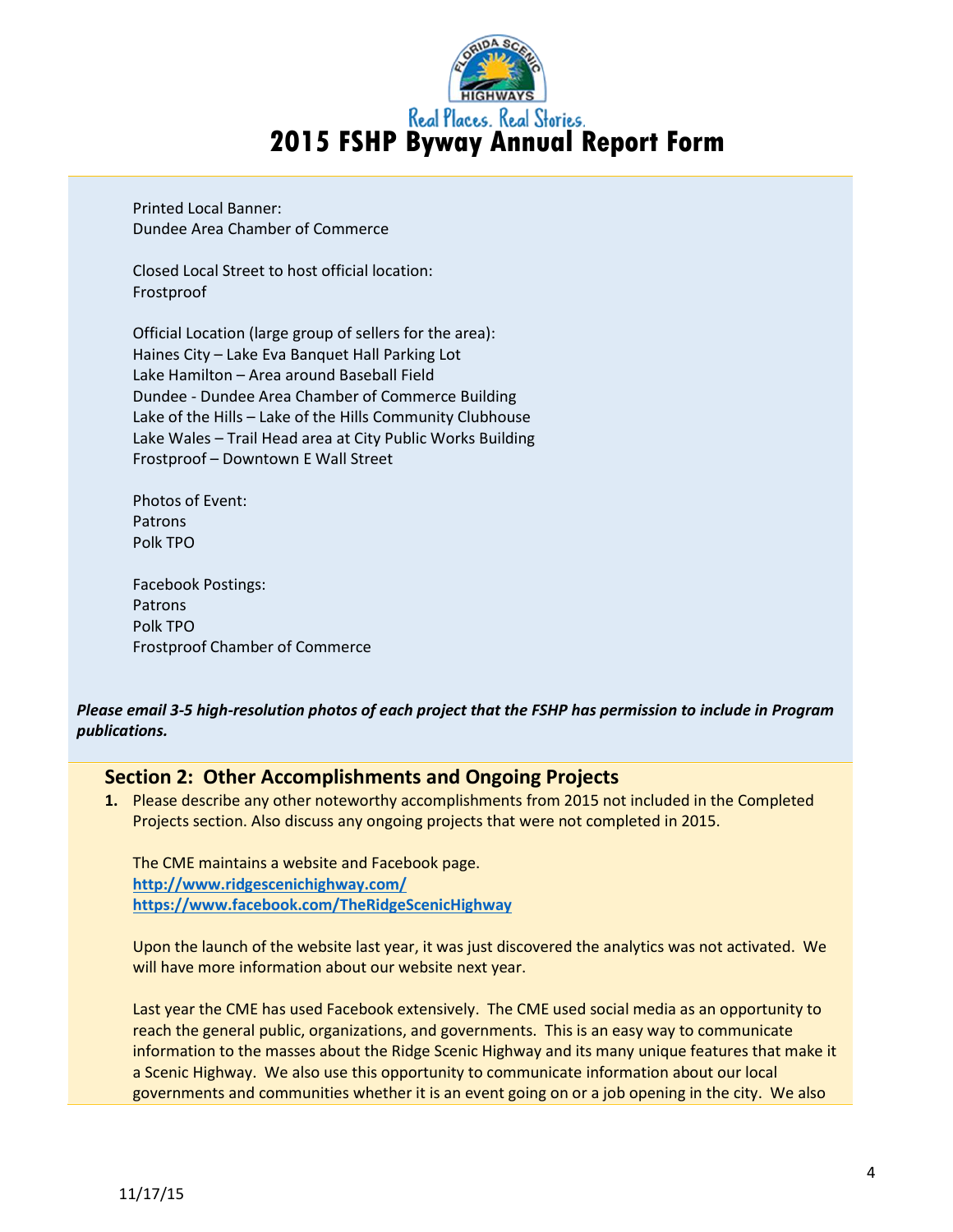

Printed Local Banner: Dundee Area Chamber of Commerce

Closed Local Street to host official location: Frostproof

Official Location (large group of sellers for the area): Haines City – Lake Eva Banquet Hall Parking Lot Lake Hamilton – Area around Baseball Field Dundee - Dundee Area Chamber of Commerce Building Lake of the Hills – Lake of the Hills Community Clubhouse Lake Wales – Trail Head area at City Public Works Building Frostproof – Downtown E Wall Street

Photos of Event: Patrons Polk TPO

Facebook Postings: Patrons Polk TPO Frostproof Chamber of Commerce

# *Please email 3-5 high-resolution photos of each project that the FSHP has permission to include in Program publications.*

# **Section 2: Other Accomplishments and Ongoing Projects**

**1.** Please describe any other noteworthy accomplishments from 2015 not included in the Completed Projects section. Also discuss any ongoing projects that were not completed in 2015.

The CME maintains a website and Facebook page. **<http://www.ridgescenichighway.com/> <https://www.facebook.com/TheRidgeScenicHighway>**

Upon the launch of the website last year, it was just discovered the analytics was not activated. We will have more information about our website next year.

Last year the CME has used Facebook extensively. The CME used social media as an opportunity to reach the general public, organizations, and governments. This is an easy way to communicate information to the masses about the Ridge Scenic Highway and its many unique features that make it a Scenic Highway. We also use this opportunity to communicate information about our local governments and communities whether it is an event going on or a job opening in the city. We also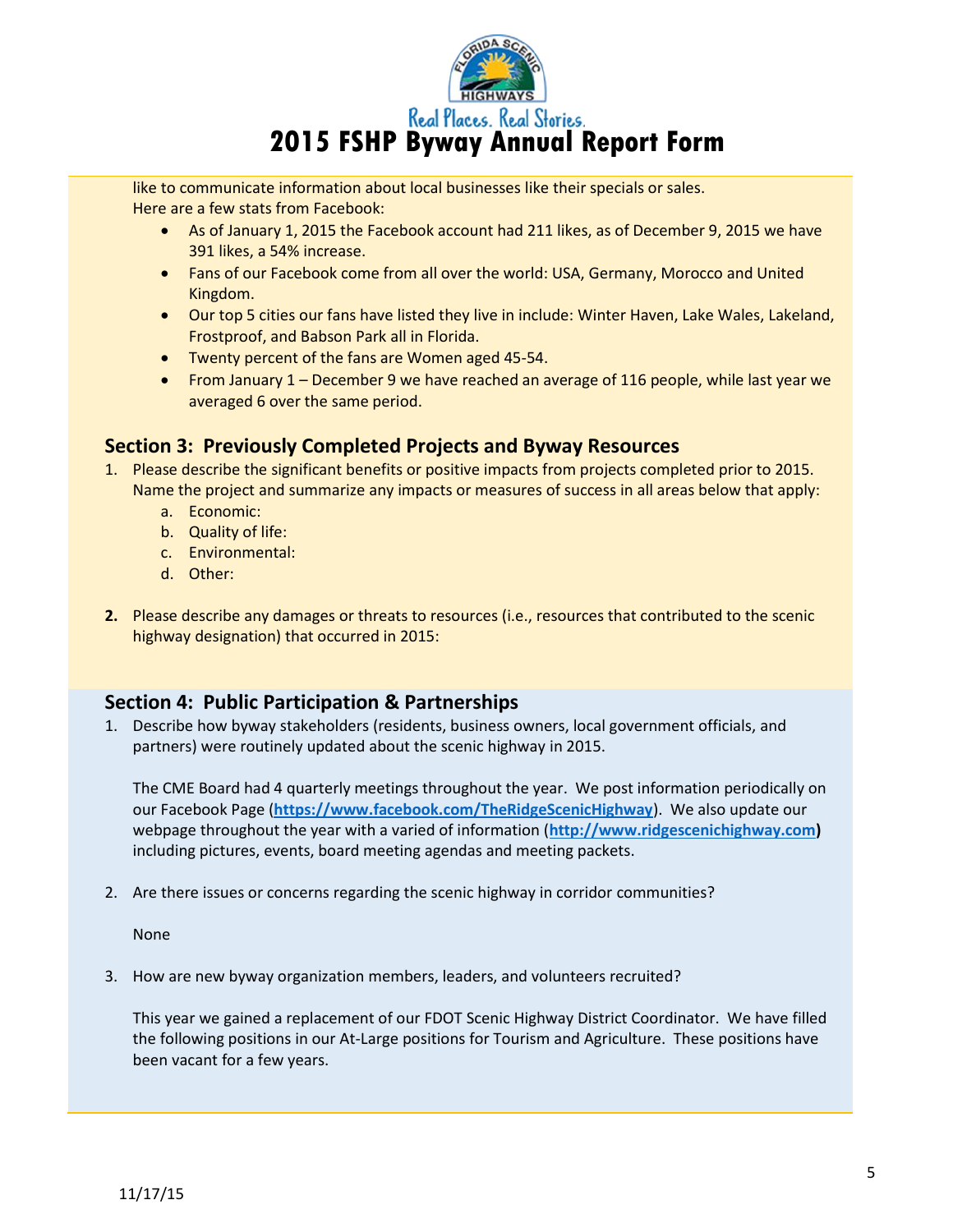

**2015 FSHP Byway Annual Report Form** 

like to communicate information about local businesses like their specials or sales. Here are a few stats from Facebook:

- As of January 1, 2015 the Facebook account had 211 likes, as of December 9, 2015 we have 391 likes, a 54% increase.
- Fans of our Facebook come from all over the world: USA, Germany, Morocco and United Kingdom.
- Our top 5 cities our fans have listed they live in include: Winter Haven, Lake Wales, Lakeland, Frostproof, and Babson Park all in Florida.
- Twenty percent of the fans are Women aged 45-54.
- From January 1 December 9 we have reached an average of 116 people, while last year we averaged 6 over the same period.

# **Section 3: Previously Completed Projects and Byway Resources**

- 1. Please describe the significant benefits or positive impacts from projects completed prior to 2015. Name the project and summarize any impacts or measures of success in all areas below that apply:
	- a. Economic:
	- b. Quality of life:
	- c. Environmental:
	- d. Other:
- **2.** Please describe any damages or threats to resources (i.e., resources that contributed to the scenic highway designation) that occurred in 2015:

# **Section 4: Public Participation & Partnerships**

1. Describe how byway stakeholders (residents, business owners, local government officials, and partners) were routinely updated about the scenic highway in 2015.

The CME Board had 4 quarterly meetings throughout the year. We post information periodically on our Facebook Page (**<https://www.facebook.com/TheRidgeScenicHighway>**). We also update our webpage throughout the year with a varied of information (**[http://www.ridgescenichighway.com\)](http://www.ridgescenichighway.com/)** including pictures, events, board meeting agendas and meeting packets.

2. Are there issues or concerns regarding the scenic highway in corridor communities?

None

3. How are new byway organization members, leaders, and volunteers recruited?

This year we gained a replacement of our FDOT Scenic Highway District Coordinator. We have filled the following positions in our At-Large positions for Tourism and Agriculture. These positions have been vacant for a few years.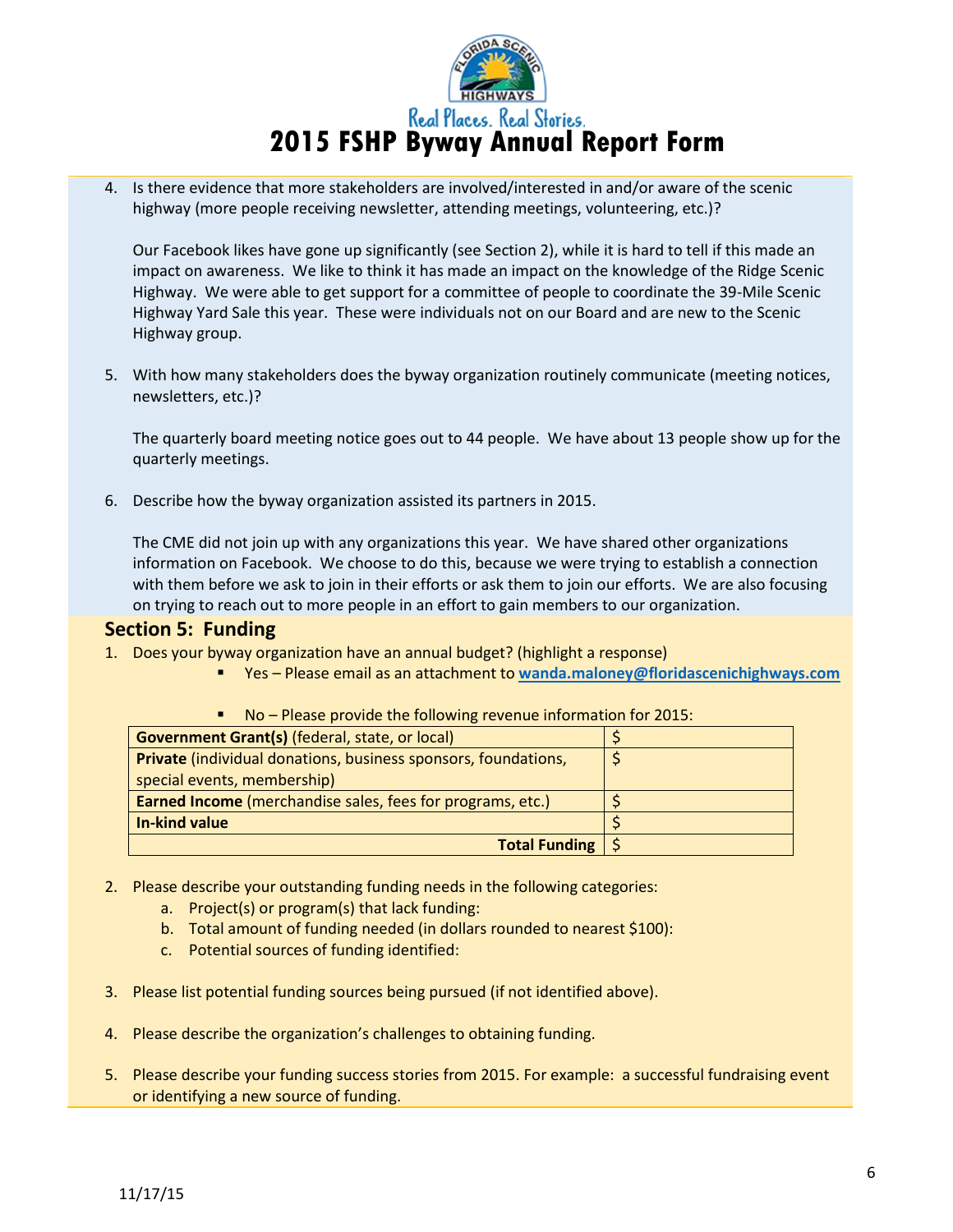

4. Is there evidence that more stakeholders are involved/interested in and/or aware of the scenic highway (more people receiving newsletter, attending meetings, volunteering, etc.)?

Our Facebook likes have gone up significantly (see Section 2), while it is hard to tell if this made an impact on awareness. We like to think it has made an impact on the knowledge of the Ridge Scenic Highway. We were able to get support for a committee of people to coordinate the 39-Mile Scenic Highway Yard Sale this year. These were individuals not on our Board and are new to the Scenic Highway group.

5. With how many stakeholders does the byway organization routinely communicate (meeting notices, newsletters, etc.)?

The quarterly board meeting notice goes out to 44 people. We have about 13 people show up for the quarterly meetings.

6. Describe how the byway organization assisted its partners in 2015.

The CME did not join up with any organizations this year. We have shared other organizations information on Facebook. We choose to do this, because we were trying to establish a connection with them before we ask to join in their efforts or ask them to join our efforts. We are also focusing on trying to reach out to more people in an effort to gain members to our organization.

# **Section 5: Funding**

- 1. Does your byway organization have an annual budget? (highlight a response)
	- Yes Please email as an attachment to **[wanda.maloney@floridascenichighways.com](mailto:wanda.maloney@floridascenichighways.com)**

| <b>Government Grant(s)</b> (federal, state, or local)                 |  |
|-----------------------------------------------------------------------|--|
| <b>Private</b> (individual donations, business sponsors, foundations, |  |
| special events, membership)                                           |  |
| <b>Earned Income</b> (merchandise sales, fees for programs, etc.)     |  |
| In-kind value                                                         |  |
| <b>Total Funding   <math>\frac{2}{3}</math></b>                       |  |
|                                                                       |  |

No – Please provide the following revenue information for 2015:

- 2. Please describe your outstanding funding needs in the following categories:
	- a. Project(s) or program(s) that lack funding:
	- b. Total amount of funding needed (in dollars rounded to nearest \$100):
	- c. Potential sources of funding identified:
- 3. Please list potential funding sources being pursued (if not identified above).
- 4. Please describe the organization's challenges to obtaining funding.
- 5. Please describe your funding success stories from 2015. For example: a successful fundraising event or identifying a new source of funding.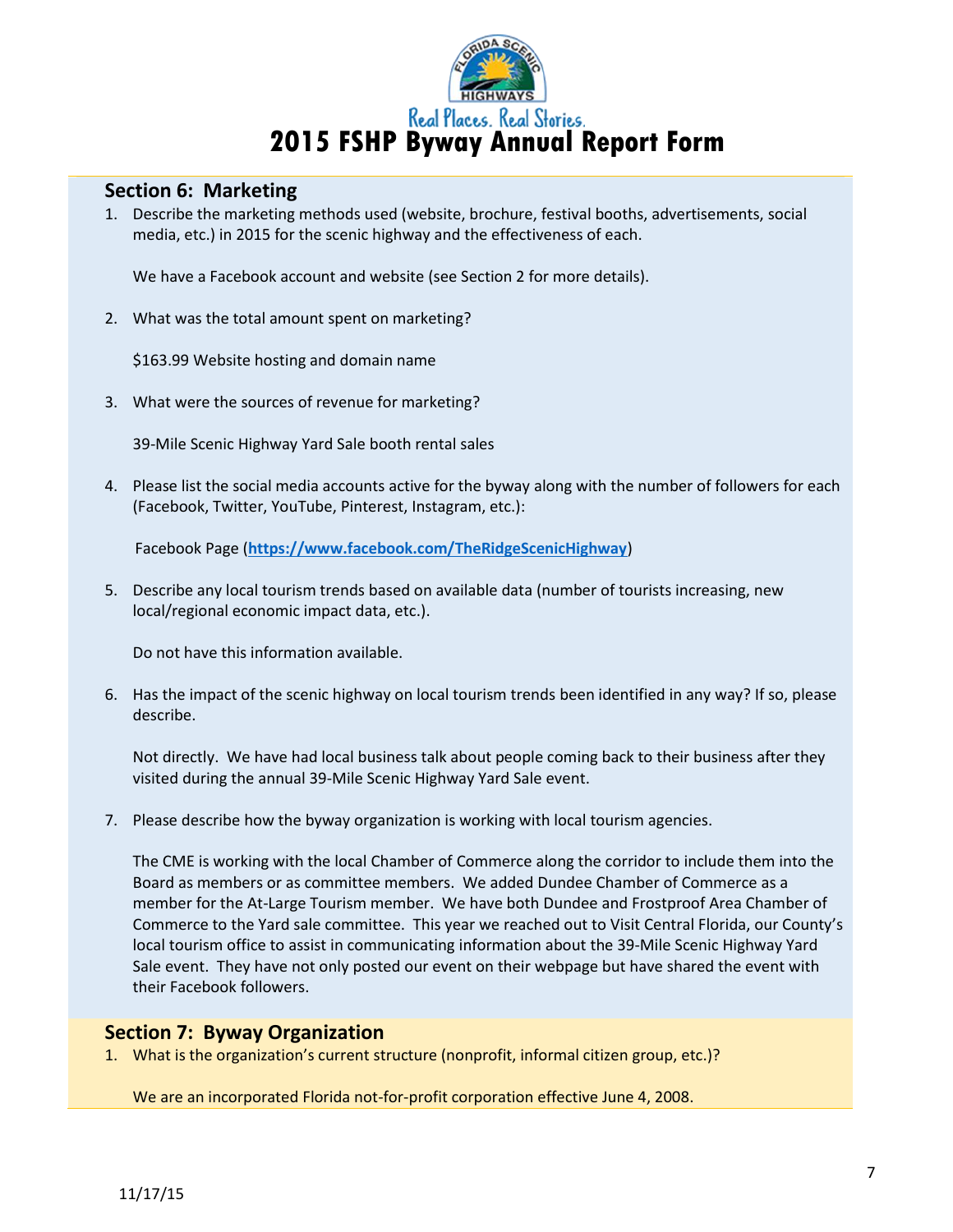

# **Section 6: Marketing**

1. Describe the marketing methods used (website, brochure, festival booths, advertisements, social media, etc.) in 2015 for the scenic highway and the effectiveness of each.

We have a Facebook account and website (see Section 2 for more details).

2. What was the total amount spent on marketing?

\$163.99 Website hosting and domain name

3. What were the sources of revenue for marketing?

39-Mile Scenic Highway Yard Sale booth rental sales

4. Please list the social media accounts active for the byway along with the number of followers for each (Facebook, Twitter, YouTube, Pinterest, Instagram, etc.):

Facebook Page (**<https://www.facebook.com/TheRidgeScenicHighway>**)

5. Describe any local tourism trends based on available data (number of tourists increasing, new local/regional economic impact data, etc.).

Do not have this information available.

6. Has the impact of the scenic highway on local tourism trends been identified in any way? If so, please describe.

Not directly. We have had local business talk about people coming back to their business after they visited during the annual 39-Mile Scenic Highway Yard Sale event.

7. Please describe how the byway organization is working with local tourism agencies.

The CME is working with the local Chamber of Commerce along the corridor to include them into the Board as members or as committee members. We added Dundee Chamber of Commerce as a member for the At-Large Tourism member. We have both Dundee and Frostproof Area Chamber of Commerce to the Yard sale committee. This year we reached out to Visit Central Florida, our County's local tourism office to assist in communicating information about the 39-Mile Scenic Highway Yard Sale event. They have not only posted our event on their webpage but have shared the event with their Facebook followers.

# **Section 7: Byway Organization**

1. What is the organization's current structure (nonprofit, informal citizen group, etc.)?

We are an incorporated Florida not-for-profit corporation effective June 4, 2008.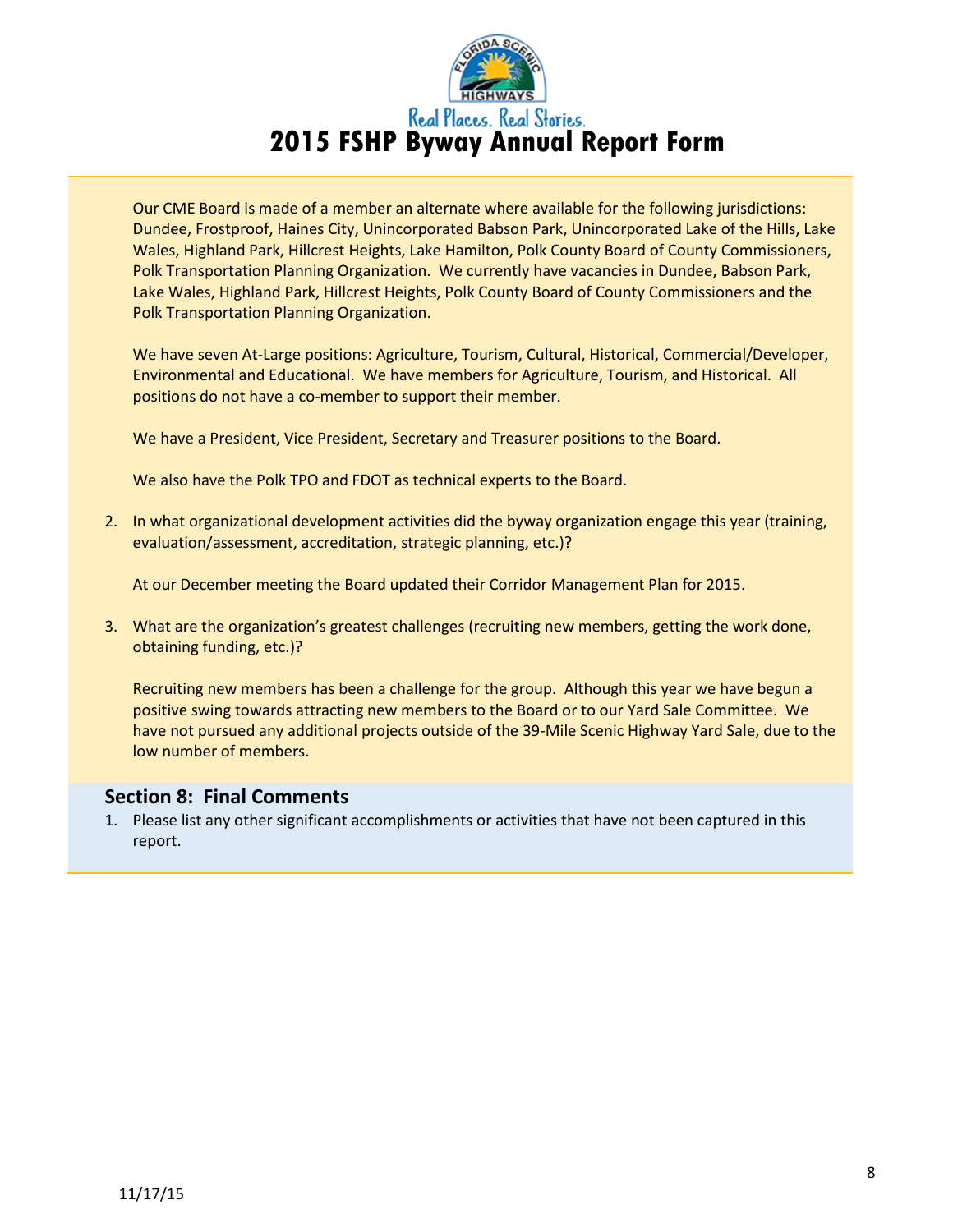

Our CME Board is made of a member an alternate where available for the following jurisdictions: Dundee, Frostproof, Haines City, Unincorporated Babson Park, Unincorporated Lake of the Hills, Lake Wales, Highland Park, Hillcrest Heights, Lake Hamilton, Polk County Board of County Commissioners, Polk Transportation Planning Organization. We currently have vacancies in Dundee, Babson Park, Lake Wales, Highland Park, Hillcrest Heights, Polk County Board of County Commissioners and the Polk Transportation Planning Organization.

We have seven At-Large positions: Agriculture, Tourism, Cultural, Historical, Commercial/Developer, Environmental and Educational. We have members for Agriculture, Tourism, and Historical. All positions do not have a co-member to support their member.

We have a President, Vice President, Secretary and Treasurer positions to the Board.

We also have the Polk TPO and FDOT as technical experts to the Board.

2. In what organizational development activities did the byway organization engage this year (training, evaluation/assessment, accreditation, strategic planning, etc.)?

At our December meeting the Board updated their Corridor Management Plan for 2015.

3. What are the organization's greatest challenges (recruiting new members, getting the work done, obtaining funding, etc.)?

Recruiting new members has been a challenge for the group. Although this year we have begun a positive swing towards attracting new members to the Board or to our Yard Sale Committee. We have not pursued any additional projects outside of the 39-Mile Scenic Highway Yard Sale, due to the low number of members.

# **Section 8: Final Comments**

1. Please list any other significant accomplishments or activities that have not been captured in this report.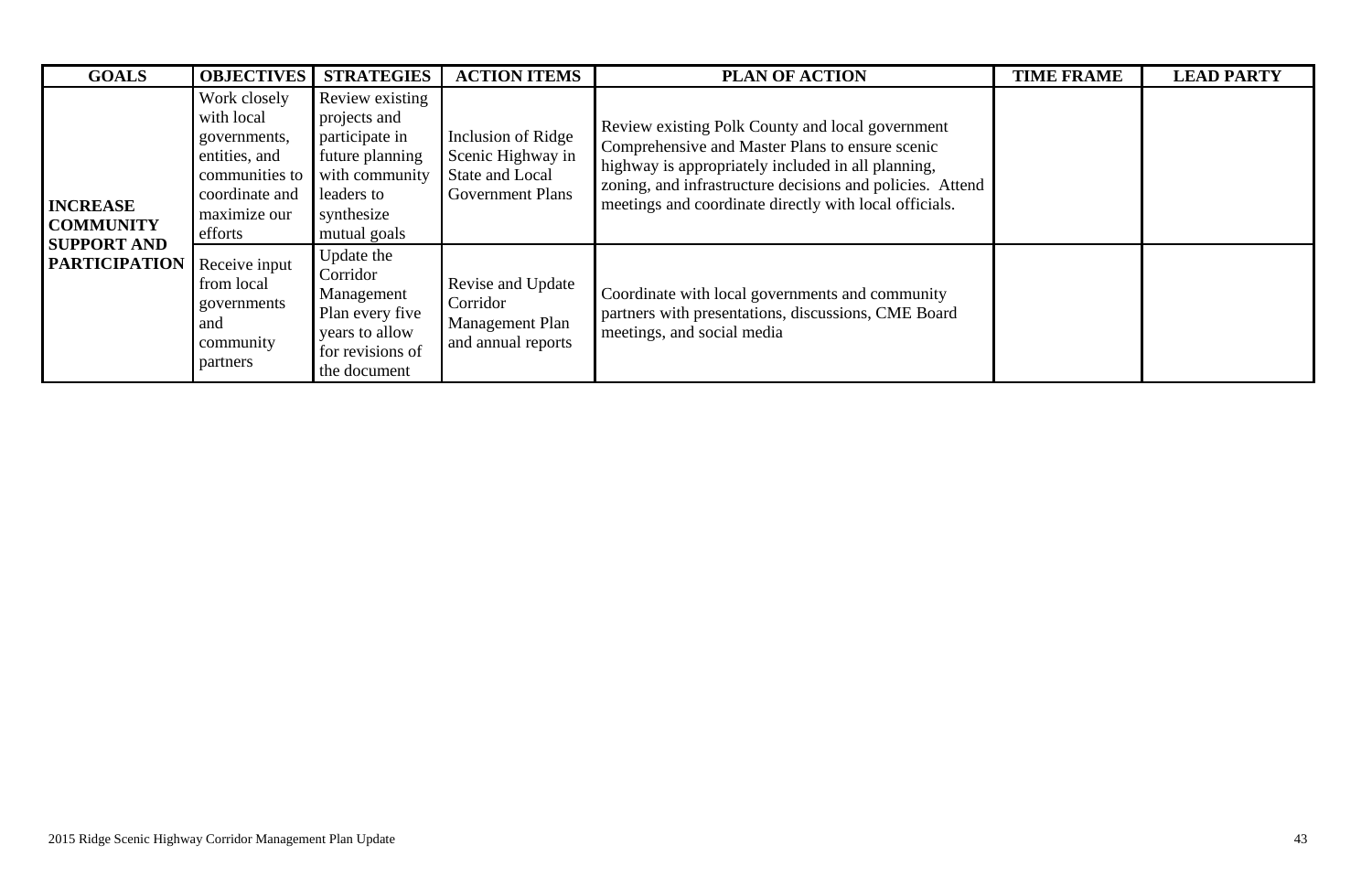| <b>GOALS</b>                                                                      | <b>OBJECTIVES</b>                                                                                                          | <b>STRATEGIES</b>                                                                                                                  | <b>ACTION ITEMS</b>                                                                   | <b>PLAN OF ACTION</b>                                                                                                                                                                                                                                                            | <b>TIME FRAME</b> | <b>LEAD PARTY</b> |
|-----------------------------------------------------------------------------------|----------------------------------------------------------------------------------------------------------------------------|------------------------------------------------------------------------------------------------------------------------------------|---------------------------------------------------------------------------------------|----------------------------------------------------------------------------------------------------------------------------------------------------------------------------------------------------------------------------------------------------------------------------------|-------------------|-------------------|
| <b>INCREASE</b><br><b>COMMUNITY</b><br><b>SUPPORT AND</b><br><b>PARTICIPATION</b> | Work closely<br>with local<br>governments,<br>entities, and<br>communities to<br>coordinate and<br>maximize our<br>efforts | Review existing<br>projects and<br>participate in<br>future planning<br>with community<br>leaders to<br>synthesize<br>mutual goals | Inclusion of Ridge<br>Scenic Highway in<br>State and Local<br><b>Government Plans</b> | Review existing Polk County and local government<br>Comprehensive and Master Plans to ensure scenic<br>highway is appropriately included in all planning,<br>zoning, and infrastructure decisions and policies. Attend<br>meetings and coordinate directly with local officials. |                   |                   |
|                                                                                   | Receive input<br>from local<br>governments<br>and<br>community<br>partners                                                 | Update the<br>Corridor<br>Management<br>Plan every five<br>years to allow<br>for revisions of<br>the document                      | <b>Revise and Update</b><br>Corridor<br>Management Plan<br>and annual reports         | Coordinate with local governments and community<br>partners with presentations, discussions, CME Board<br>meetings, and social media                                                                                                                                             |                   |                   |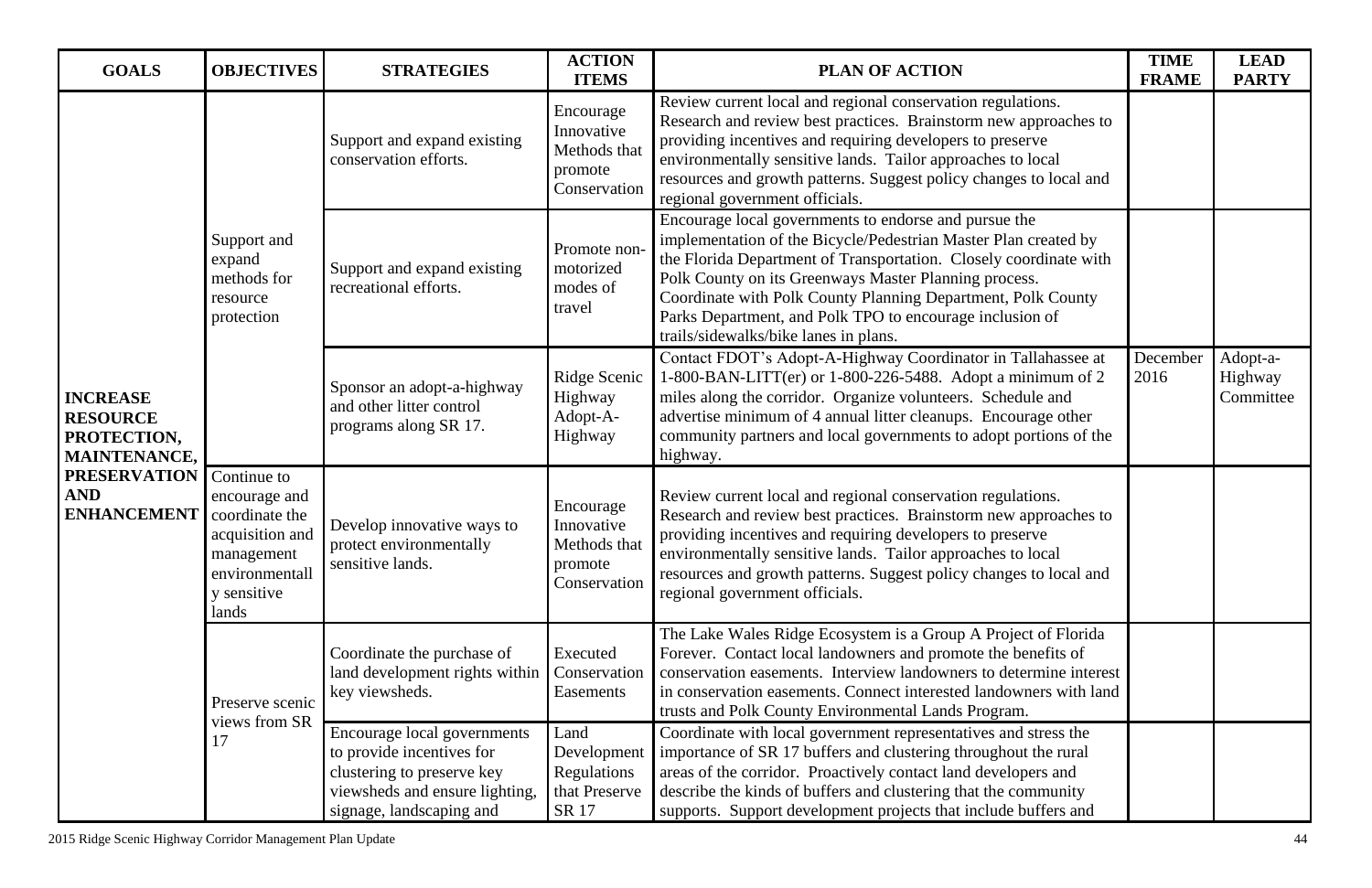| <b>GOALS</b>                                                                                                                        | <b>OBJECTIVES</b>                                                                                                         | <b>STRATEGIES</b>                                                                                                                                    | <b>ACTION</b><br><b>ITEMS</b>                                       | <b>PLAN OF ACTION</b>                                                                                                                                                                                                                                                                                                                                                                                                       | <b>TIME</b><br><b>FRAME</b> | <b>LEAD</b><br><b>PARTY</b>      |
|-------------------------------------------------------------------------------------------------------------------------------------|---------------------------------------------------------------------------------------------------------------------------|------------------------------------------------------------------------------------------------------------------------------------------------------|---------------------------------------------------------------------|-----------------------------------------------------------------------------------------------------------------------------------------------------------------------------------------------------------------------------------------------------------------------------------------------------------------------------------------------------------------------------------------------------------------------------|-----------------------------|----------------------------------|
| <b>INCREASE</b><br><b>RESOURCE</b><br>PROTECTION,<br><b>MAINTENANCE,</b><br><b>PRESERVATION</b><br><b>AND</b><br><b>ENHANCEMENT</b> | Support and<br>expand<br>methods for<br>resource<br>protection                                                            | Support and expand existing<br>conservation efforts.                                                                                                 | Encourage<br>Innovative<br>Methods that<br>promote<br>Conservation  | Review current local and regional conservation regulations.<br>Research and review best practices. Brainstorm new approaches to<br>providing incentives and requiring developers to preserve<br>environmentally sensitive lands. Tailor approaches to local<br>resources and growth patterns. Suggest policy changes to local and<br>regional government officials.                                                         |                             |                                  |
|                                                                                                                                     |                                                                                                                           | Support and expand existing<br>recreational efforts.                                                                                                 | Promote non-<br>motorized<br>modes of<br>travel                     | Encourage local governments to endorse and pursue the<br>implementation of the Bicycle/Pedestrian Master Plan created by<br>the Florida Department of Transportation. Closely coordinate with<br>Polk County on its Greenways Master Planning process.<br>Coordinate with Polk County Planning Department, Polk County<br>Parks Department, and Polk TPO to encourage inclusion of<br>trails/sidewalks/bike lanes in plans. |                             |                                  |
|                                                                                                                                     |                                                                                                                           | Sponsor an adopt-a-highway<br>and other litter control<br>programs along SR 17.                                                                      | Ridge Scenic<br>Highway<br>Adopt-A-<br>Highway                      | Contact FDOT's Adopt-A-Highway Coordinator in Tallahassee at<br>$1-800-BAN-LITT(er)$ or $1-800-226-5488$ . Adopt a minimum of 2<br>miles along the corridor. Organize volunteers. Schedule and<br>advertise minimum of 4 annual litter cleanups. Encourage other<br>community partners and local governments to adopt portions of the<br>highway.                                                                           | December<br>2016            | Adopt-a-<br>Highway<br>Committee |
|                                                                                                                                     | Continue to<br>encourage and<br>coordinate the<br>acquisition and<br>management<br>environmentall<br>y sensitive<br>lands | Develop innovative ways to<br>protect environmentally<br>sensitive lands.                                                                            | Encourage<br>Innovative<br>Methods that<br>promote<br>Conservation  | Review current local and regional conservation regulations.<br>Research and review best practices. Brainstorm new approaches to<br>providing incentives and requiring developers to preserve<br>environmentally sensitive lands. Tailor approaches to local<br>resources and growth patterns. Suggest policy changes to local and<br>regional government officials.                                                         |                             |                                  |
|                                                                                                                                     | Preserve scenic<br>views from SR<br>17                                                                                    | Coordinate the purchase of<br>land development rights within<br>key viewsheds.                                                                       | Executed<br>Conservation<br>Easements                               | The Lake Wales Ridge Ecosystem is a Group A Project of Florida<br>Forever. Contact local landowners and promote the benefits of<br>conservation easements. Interview landowners to determine interest<br>in conservation easements. Connect interested landowners with land<br>trusts and Polk County Environmental Lands Program.                                                                                          |                             |                                  |
|                                                                                                                                     |                                                                                                                           | Encourage local governments<br>to provide incentives for<br>clustering to preserve key<br>viewsheds and ensure lighting,<br>signage, landscaping and | Land<br>Development<br><b>Regulations</b><br>that Preserve<br>SR 17 | Coordinate with local government representatives and stress the<br>importance of SR 17 buffers and clustering throughout the rural<br>areas of the corridor. Proactively contact land developers and<br>describe the kinds of buffers and clustering that the community<br>supports. Support development projects that include buffers and                                                                                  |                             |                                  |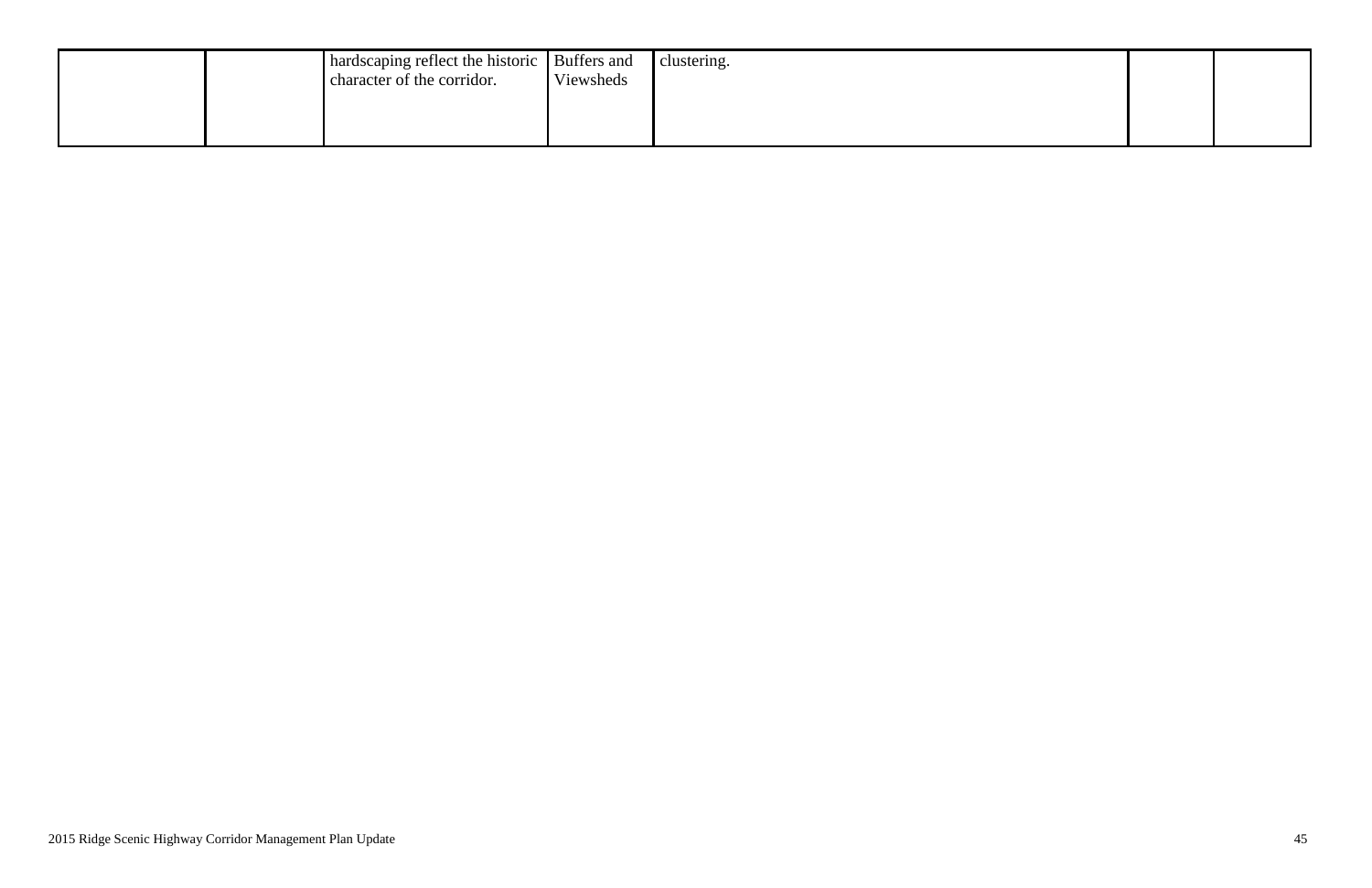|  | hardscaping reflect the historic Buffers and<br>character of the corridor. | Viewsheds | clustering. |
|--|----------------------------------------------------------------------------|-----------|-------------|
|  |                                                                            |           |             |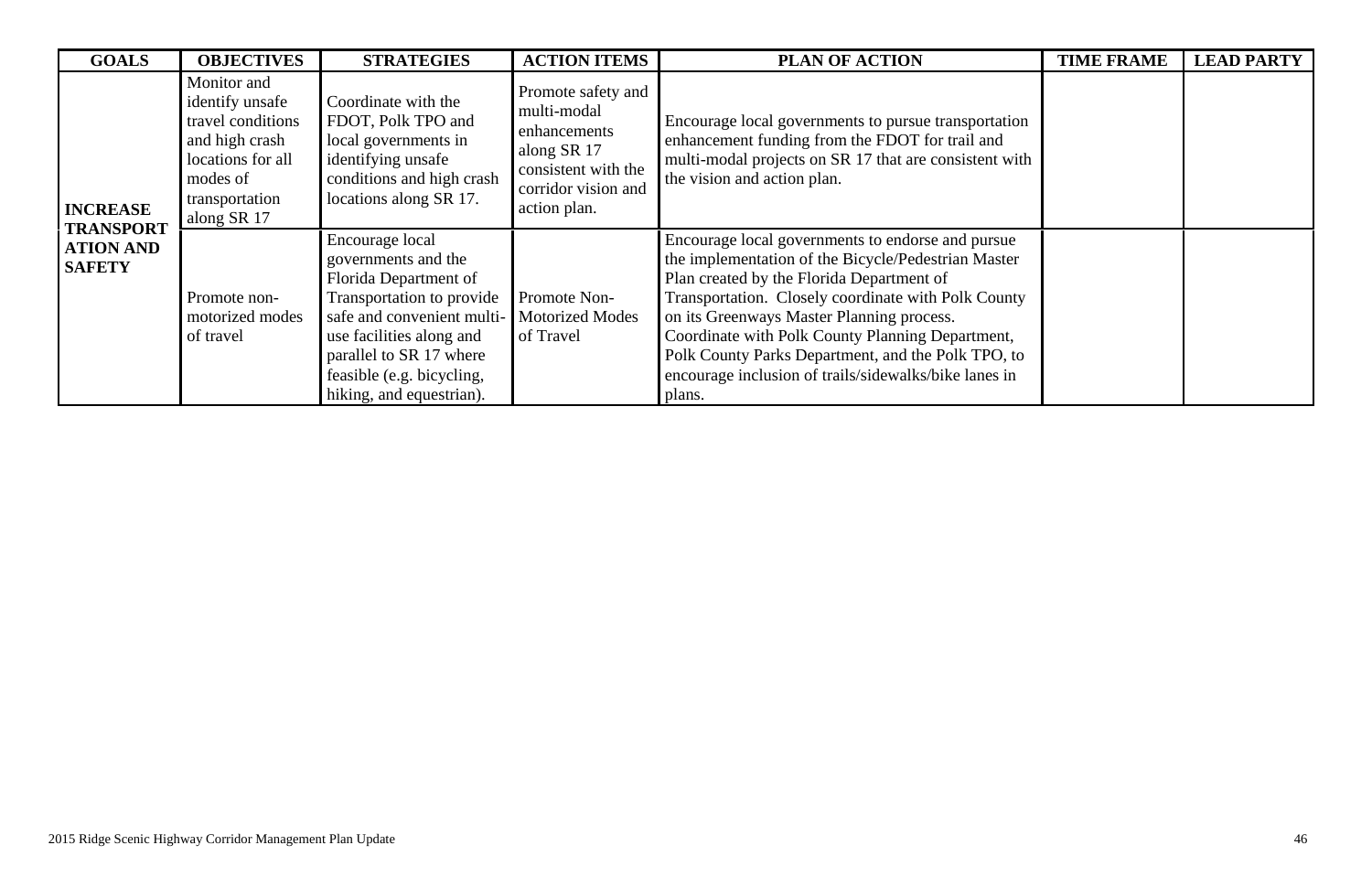| <b>GOALS</b>                                          | <b>OBJECTIVES</b>                                                                                                                       | <b>STRATEGIES</b>                                                                                                                                                                                                                          | <b>ACTION ITEMS</b>                                                                                                            | <b>PLAN OF ACTION</b>                                                                                                                                                                                                                                                                                                                                                                                                                  | <b>TIME FRAME</b> | <b>LEAD PARTY</b> |
|-------------------------------------------------------|-----------------------------------------------------------------------------------------------------------------------------------------|--------------------------------------------------------------------------------------------------------------------------------------------------------------------------------------------------------------------------------------------|--------------------------------------------------------------------------------------------------------------------------------|----------------------------------------------------------------------------------------------------------------------------------------------------------------------------------------------------------------------------------------------------------------------------------------------------------------------------------------------------------------------------------------------------------------------------------------|-------------------|-------------------|
| <b>INCREASE</b>                                       | Monitor and<br>identify unsafe<br>travel conditions<br>and high crash<br>locations for all<br>modes of<br>transportation<br>along SR 17 | Coordinate with the<br>FDOT, Polk TPO and<br>local governments in<br>identifying unsafe<br>conditions and high crash<br>locations along SR 17.                                                                                             | Promote safety and<br>multi-modal<br>enhancements<br>along SR 17<br>consistent with the<br>corridor vision and<br>action plan. | Encourage local governments to pursue transportation<br>enhancement funding from the FDOT for trail and<br>multi-modal projects on SR 17 that are consistent with<br>the vision and action plan.                                                                                                                                                                                                                                       |                   |                   |
| <b>TRANSPORT</b><br><b>ATION AND</b><br><b>SAFETY</b> | Promote non-<br>motorized modes<br>of travel                                                                                            | Encourage local<br>governments and the<br>Florida Department of<br>Transportation to provide<br>safe and convenient multi-<br>use facilities along and<br>parallel to SR 17 where<br>feasible (e.g. bicycling,<br>hiking, and equestrian). | Promote Non-<br><b>Motorized Modes</b><br>of Travel                                                                            | Encourage local governments to endorse and pursue<br>the implementation of the Bicycle/Pedestrian Master<br>Plan created by the Florida Department of<br>Transportation. Closely coordinate with Polk County<br>on its Greenways Master Planning process.<br>Coordinate with Polk County Planning Department,<br>Polk County Parks Department, and the Polk TPO, to<br>encourage inclusion of trails/sidewalks/bike lanes in<br>plans. |                   |                   |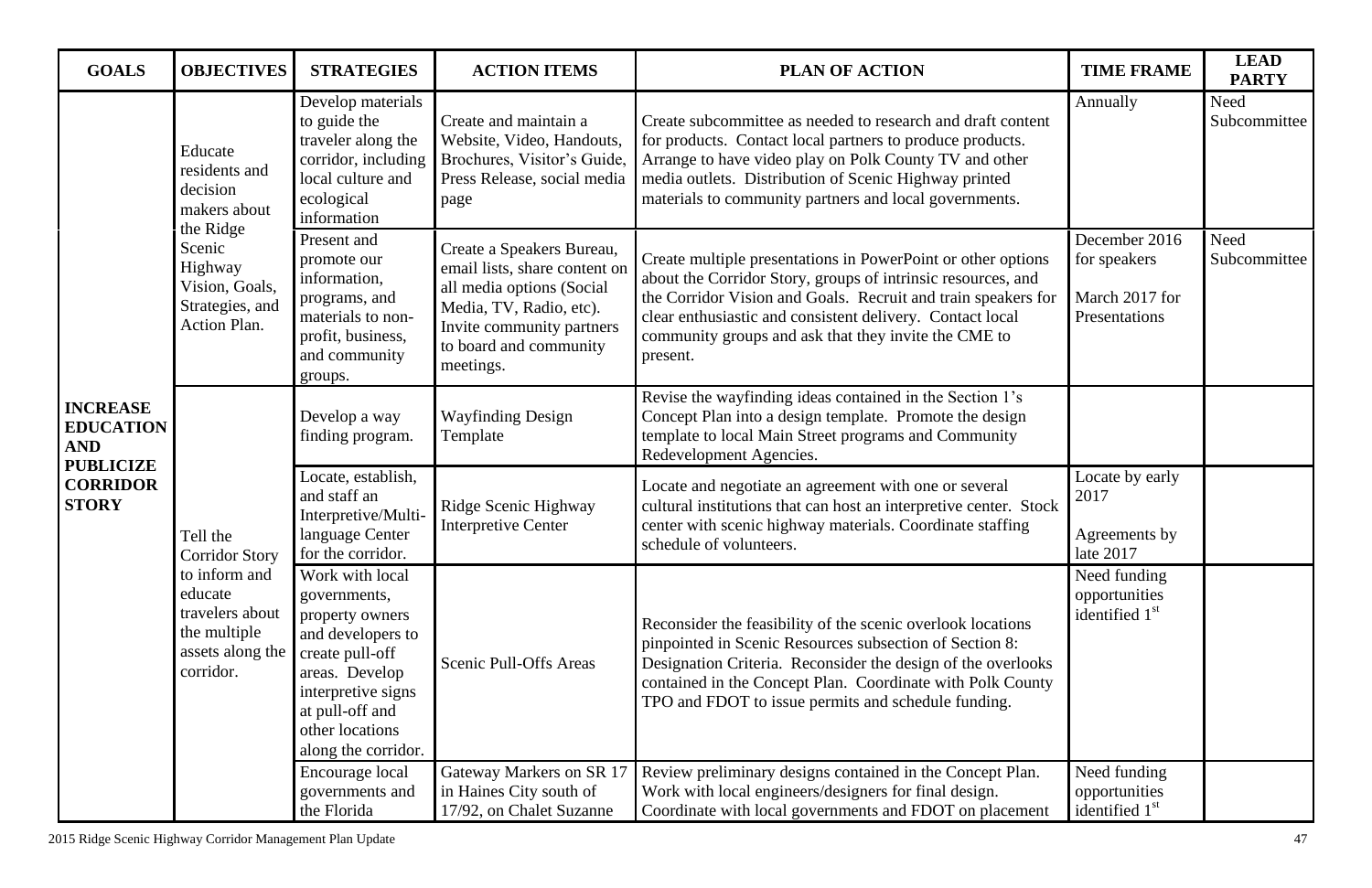| <b>GOALS</b>                                                                                             | <b>OBJECTIVES</b>                                                                                                                         | <b>STRATEGIES</b>                                                                                                                                                                               | <b>ACTION ITEMS</b>                                                                                                                                                                    | <b>PLAN OF ACTION</b>                                                                                                                                                                                                                                                                                                          | <b>TIME FRAME</b>                                                | <b>LEAD</b><br><b>PARTY</b> |
|----------------------------------------------------------------------------------------------------------|-------------------------------------------------------------------------------------------------------------------------------------------|-------------------------------------------------------------------------------------------------------------------------------------------------------------------------------------------------|----------------------------------------------------------------------------------------------------------------------------------------------------------------------------------------|--------------------------------------------------------------------------------------------------------------------------------------------------------------------------------------------------------------------------------------------------------------------------------------------------------------------------------|------------------------------------------------------------------|-----------------------------|
| <b>INCREASE</b><br><b>EDUCATION</b><br><b>AND</b><br><b>PUBLICIZE</b><br><b>CORRIDOR</b><br><b>STORY</b> | Educate<br>residents and<br>decision<br>makers about                                                                                      | Develop materials<br>to guide the<br>traveler along the<br>corridor, including<br>local culture and<br>ecological<br>information                                                                | Create and maintain a<br>Website, Video, Handouts,<br>Brochures, Visitor's Guide,<br>Press Release, social media<br>page                                                               | Create subcommittee as needed to research and draft content<br>for products. Contact local partners to produce products.<br>Arrange to have video play on Polk County TV and other<br>media outlets. Distribution of Scenic Highway printed<br>materials to community partners and local governments.                          | Annually                                                         | Need<br>Subcommittee        |
|                                                                                                          | the Ridge<br>Scenic<br>Highway<br>Vision, Goals,<br>Strategies, and<br><b>Action Plan.</b>                                                | Present and<br>promote our<br>information,<br>programs, and<br>materials to non-<br>profit, business,<br>and community<br>groups.                                                               | Create a Speakers Bureau,<br>email lists, share content on<br>all media options (Social<br>Media, TV, Radio, etc).<br>Invite community partners<br>to board and community<br>meetings. | Create multiple presentations in PowerPoint or other options<br>about the Corridor Story, groups of intrinsic resources, and<br>the Corridor Vision and Goals. Recruit and train speakers for<br>clear enthusiastic and consistent delivery. Contact local<br>community groups and ask that they invite the CME to<br>present. | December 2016<br>for speakers<br>March 2017 for<br>Presentations | Need<br>Subcommittee        |
|                                                                                                          | Tell the<br><b>Corridor Story</b><br>to inform and<br>educate<br>travelers about<br>the multiple<br>assets along the $\vert$<br>corridor. | Develop a way<br>finding program.                                                                                                                                                               | <b>Wayfinding Design</b><br>Template                                                                                                                                                   | Revise the wayfinding ideas contained in the Section 1's<br>Concept Plan into a design template. Promote the design<br>template to local Main Street programs and Community<br>Redevelopment Agencies.                                                                                                                         |                                                                  |                             |
|                                                                                                          |                                                                                                                                           | Locate, establish,<br>and staff an<br>Interpretive/Multi-<br>language Center<br>for the corridor.                                                                                               | Ridge Scenic Highway<br><b>Interpretive Center</b>                                                                                                                                     | Locate and negotiate an agreement with one or several<br>cultural institutions that can host an interpretive center. Stock<br>center with scenic highway materials. Coordinate staffing<br>schedule of volunteers.                                                                                                             | Locate by early<br>2017<br>Agreements by<br>late 2017            |                             |
|                                                                                                          |                                                                                                                                           | Work with local<br>governments,<br>property owners<br>and developers to<br>create pull-off<br>areas. Develop<br>interpretive signs<br>at pull-off and<br>other locations<br>along the corridor. | Scenic Pull-Offs Areas                                                                                                                                                                 | Reconsider the feasibility of the scenic overlook locations<br>pinpointed in Scenic Resources subsection of Section 8:<br>Designation Criteria. Reconsider the design of the overlooks<br>contained in the Concept Plan. Coordinate with Polk County<br>TPO and FDOT to issue permits and schedule funding.                    | Need funding<br>opportunities<br>identified 1 <sup>st</sup>      |                             |
|                                                                                                          |                                                                                                                                           | Encourage local<br>governments and<br>the Florida                                                                                                                                               | Gateway Markers on SR 17<br>in Haines City south of<br>17/92, on Chalet Suzanne                                                                                                        | Review preliminary designs contained in the Concept Plan.<br>Work with local engineers/designers for final design.<br>Coordinate with local governments and FDOT on placement                                                                                                                                                  | Need funding<br>opportunities<br>identified 1 <sup>st</sup>      |                             |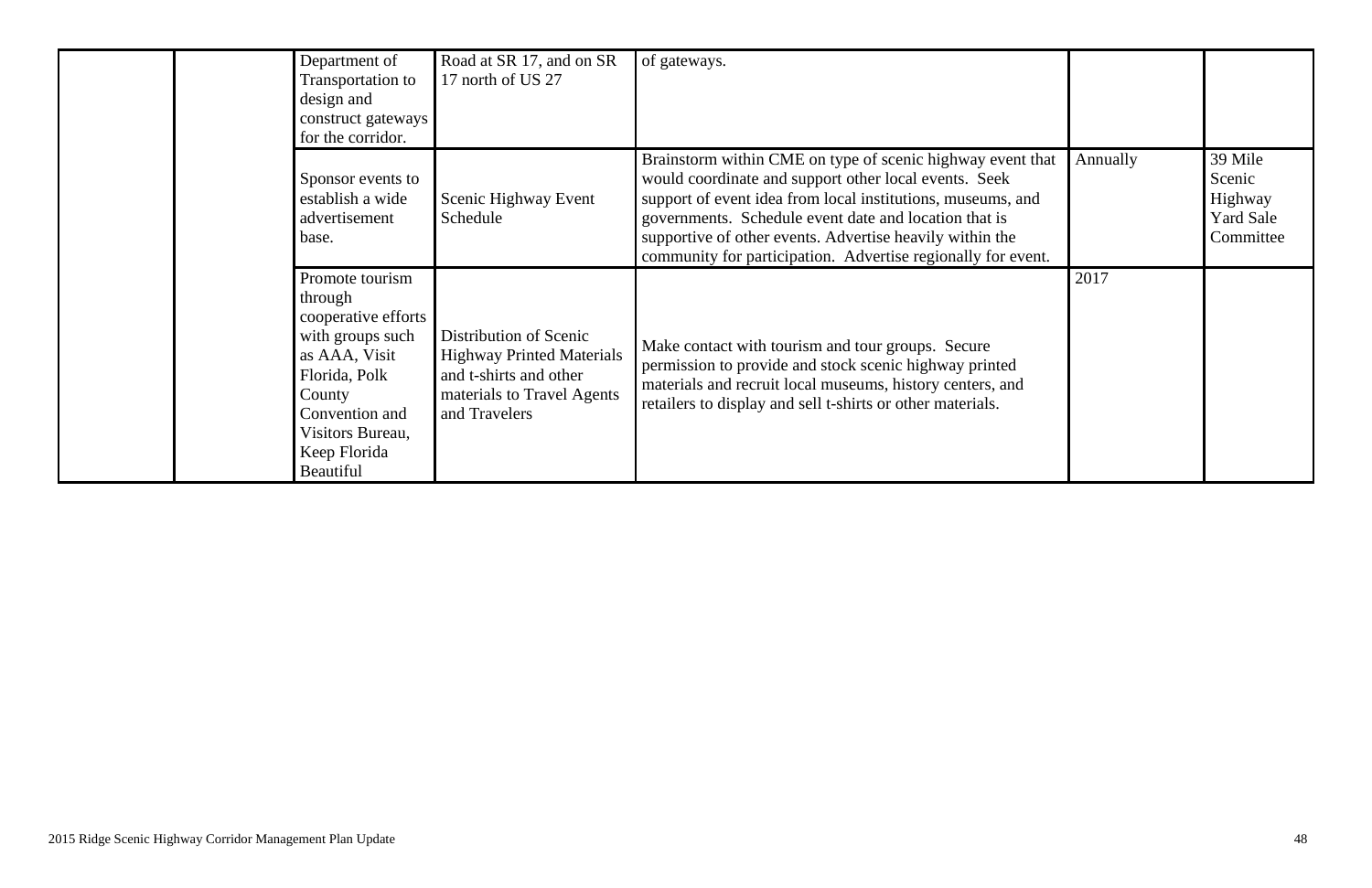| Department of<br>Transportation to<br>design and<br>construct gateways<br>for the corridor.                                                                                          | Road at SR 17, and on SR<br>17 north of US 27                                                                                       | of gateways.                                                                                                                                                                                                                                                                                                                                                            |          |                                                               |
|--------------------------------------------------------------------------------------------------------------------------------------------------------------------------------------|-------------------------------------------------------------------------------------------------------------------------------------|-------------------------------------------------------------------------------------------------------------------------------------------------------------------------------------------------------------------------------------------------------------------------------------------------------------------------------------------------------------------------|----------|---------------------------------------------------------------|
| Sponsor events to<br>establish a wide<br>advertisement<br>base.                                                                                                                      | Scenic Highway Event<br>Schedule                                                                                                    | Brainstorm within CME on type of scenic highway event that<br>would coordinate and support other local events. Seek<br>support of event idea from local institutions, museums, and<br>governments. Schedule event date and location that is<br>supportive of other events. Advertise heavily within the<br>community for participation. Advertise regionally for event. | Annually | 39 Mile<br>Scenic<br>Highway<br><b>Yard Sale</b><br>Committee |
| Promote tourism<br>through<br>cooperative efforts<br>with groups such<br>as AAA, Visit<br>Florida, Polk<br>County<br>Convention and<br>Visitors Bureau,<br>Keep Florida<br>Beautiful | Distribution of Scenic<br><b>Highway Printed Materials</b><br>and t-shirts and other<br>materials to Travel Agents<br>and Travelers | Make contact with tourism and tour groups. Secure<br>permission to provide and stock scenic highway printed<br>materials and recruit local museums, history centers, and<br>retailers to display and sell t-shirts or other materials.                                                                                                                                  | 2017     |                                                               |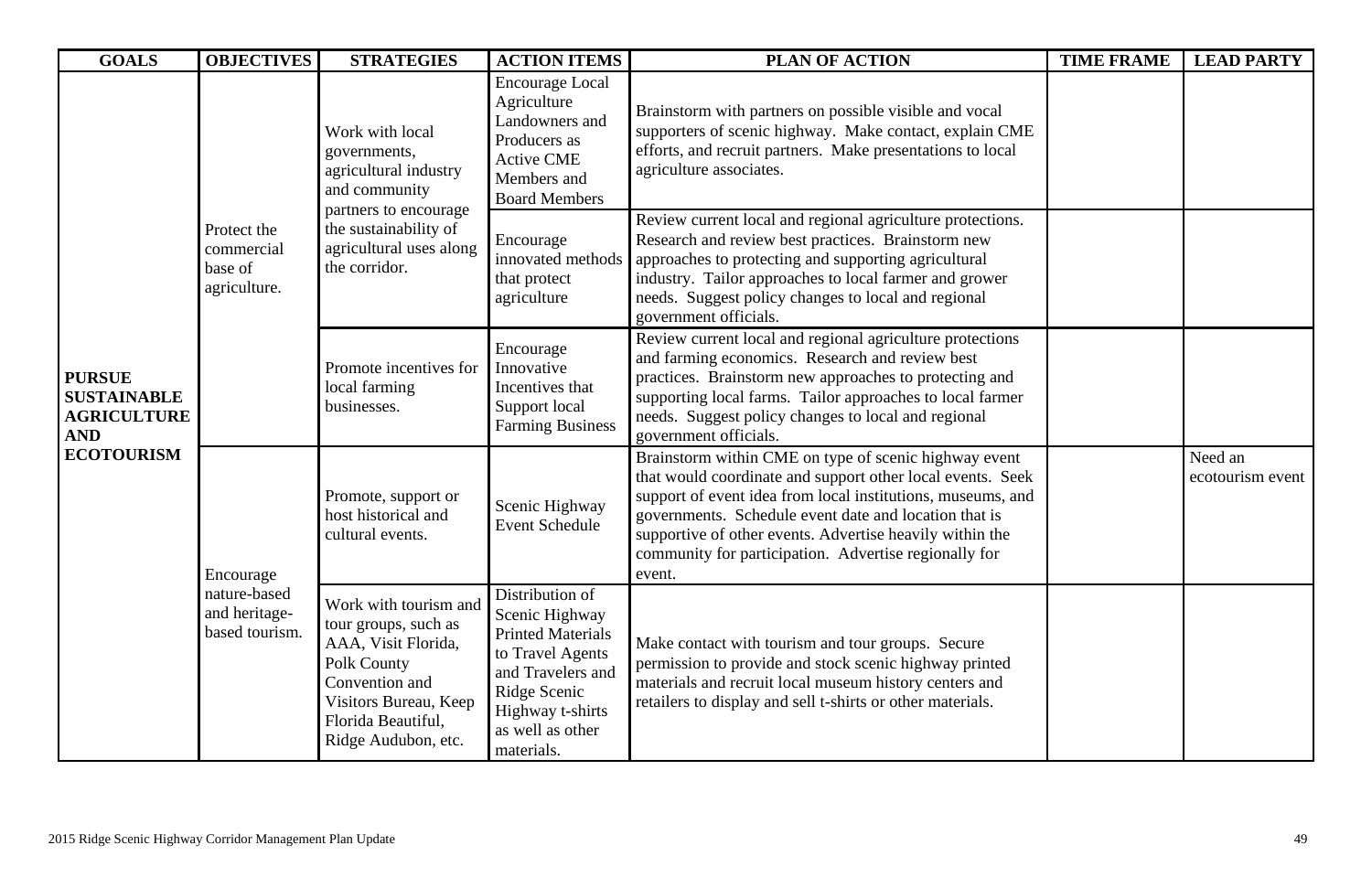| <b>GOALS</b>                                                                                 | <b>OBJECTIVES</b>                                    | <b>STRATEGIES</b>                                                                                                                                                       | <b>ACTION ITEMS</b>                                                                                                                                                         | <b>PLAN OF ACTION</b>                                                                                                                                                                                                                                                                                                                                                      | <b>TIME FRAME</b>                                                                                                                                                                                                                   | <b>LEAD PARTY</b>           |
|----------------------------------------------------------------------------------------------|------------------------------------------------------|-------------------------------------------------------------------------------------------------------------------------------------------------------------------------|-----------------------------------------------------------------------------------------------------------------------------------------------------------------------------|----------------------------------------------------------------------------------------------------------------------------------------------------------------------------------------------------------------------------------------------------------------------------------------------------------------------------------------------------------------------------|-------------------------------------------------------------------------------------------------------------------------------------------------------------------------------------------------------------------------------------|-----------------------------|
| <b>PURSUE</b><br><b>SUSTAINABLE</b><br><b>AGRICULTURE</b><br><b>AND</b><br><b>ECOTOURISM</b> |                                                      | Work with local<br>governments,<br>agricultural industry<br>and community<br>partners to encourage<br>the sustainability of<br>agricultural uses along<br>the corridor. | <b>Encourage Local</b><br>Agriculture<br>Landowners and<br>Producers as<br><b>Active CME</b><br>Members and<br><b>Board Members</b>                                         | Brainstorm with partners on possible visible and vocal<br>supporters of scenic highway. Make contact, explain CME<br>efforts, and recruit partners. Make presentations to local<br>agriculture associates.                                                                                                                                                                 |                                                                                                                                                                                                                                     |                             |
|                                                                                              | Protect the<br>commercial<br>base of<br>agriculture. |                                                                                                                                                                         | Encourage<br>innovated methods<br>that protect<br>agriculture                                                                                                               | Review current local and regional agriculture protections.<br>Research and review best practices. Brainstorm new<br>approaches to protecting and supporting agricultural<br>industry. Tailor approaches to local farmer and grower<br>needs. Suggest policy changes to local and regional<br>government officials.                                                         |                                                                                                                                                                                                                                     |                             |
|                                                                                              |                                                      | Promote incentives for<br>local farming<br>businesses.                                                                                                                  | Encourage<br>Innovative<br>Incentives that<br>Support local<br><b>Farming Business</b>                                                                                      | Review current local and regional agriculture protections<br>and farming economics. Research and review best<br>practices. Brainstorm new approaches to protecting and<br>supporting local farms. Tailor approaches to local farmer<br>needs. Suggest policy changes to local and regional<br>government officials.                                                        |                                                                                                                                                                                                                                     |                             |
|                                                                                              | Encourage                                            | Promote, support or<br>host historical and<br>cultural events.                                                                                                          | Scenic Highway<br><b>Event Schedule</b>                                                                                                                                     | Brainstorm within CME on type of scenic highway event<br>that would coordinate and support other local events. Seek<br>support of event idea from local institutions, museums, and<br>governments. Schedule event date and location that is<br>supportive of other events. Advertise heavily within the<br>community for participation. Advertise regionally for<br>event. |                                                                                                                                                                                                                                     | Need an<br>ecotourism event |
|                                                                                              |                                                      | nature-based<br>and heritage-<br>based tourism.                                                                                                                         | Work with tourism and<br>tour groups, such as<br>AAA, Visit Florida,<br>Polk County<br>Convention and<br>Visitors Bureau, Keep<br>Florida Beautiful,<br>Ridge Audubon, etc. | Distribution of<br>Scenic Highway<br><b>Printed Materials</b><br>to Travel Agents<br>and Travelers and<br>Ridge Scenic<br>Highway t-shirts<br>as well as other<br>materials.                                                                                                                                                                                               | Make contact with tourism and tour groups. Secure<br>permission to provide and stock scenic highway printed<br>materials and recruit local museum history centers and<br>retailers to display and sell t-shirts or other materials. |                             |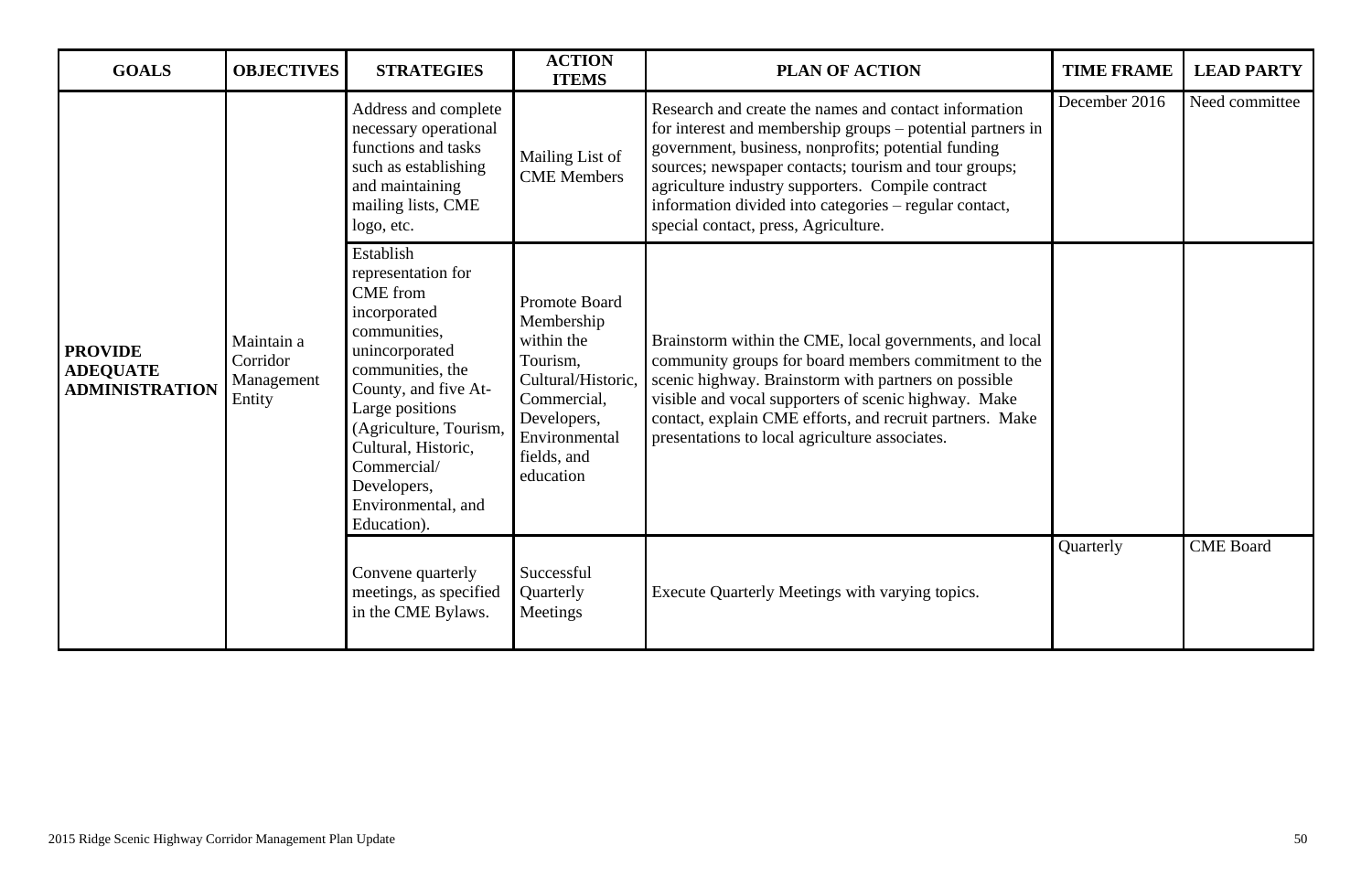| <b>GOALS</b>                                               | <b>OBJECTIVES</b>                              | <b>STRATEGIES</b>                                                                                                                                                                                                                                                                       | <b>ACTION</b><br><b>ITEMS</b>                                                                                                                                 | <b>PLAN OF ACTION</b>                                                                                                                                                                                                                                                                                                                                                                      | <b>TIME FRAME</b> | <b>LEAD PARTY</b> |
|------------------------------------------------------------|------------------------------------------------|-----------------------------------------------------------------------------------------------------------------------------------------------------------------------------------------------------------------------------------------------------------------------------------------|---------------------------------------------------------------------------------------------------------------------------------------------------------------|--------------------------------------------------------------------------------------------------------------------------------------------------------------------------------------------------------------------------------------------------------------------------------------------------------------------------------------------------------------------------------------------|-------------------|-------------------|
| <b>PROVIDE</b><br><b>ADEQUATE</b><br><b>ADMINISTRATION</b> |                                                | Address and complete<br>necessary operational<br>functions and tasks<br>such as establishing<br>and maintaining<br>mailing lists, CME<br>logo, etc.                                                                                                                                     | Mailing List of<br><b>CME</b> Members                                                                                                                         | Research and create the names and contact information<br>for interest and membership groups – potential partners in<br>government, business, nonprofits; potential funding<br>sources; newspaper contacts; tourism and tour groups;<br>agriculture industry supporters. Compile contract<br>information divided into categories – regular contact,<br>special contact, press, Agriculture. | December 2016     | Need committee    |
|                                                            | Maintain a<br>Corridor<br>Management<br>Entity | Establish<br>representation for<br><b>CME</b> from<br>incorporated<br>communities,<br>unincorporated<br>communities, the<br>County, and five At-<br>Large positions<br>(Agriculture, Tourism,<br>Cultural, Historic,<br>Commercial/<br>Developers,<br>Environmental, and<br>Education). | <b>Promote Board</b><br>Membership<br>within the<br>Tourism,<br>Cultural/Historic,<br>Commercial,<br>Developers,<br>Environmental<br>fields, and<br>education | Brainstorm within the CME, local governments, and local<br>community groups for board members commitment to the<br>scenic highway. Brainstorm with partners on possible<br>visible and vocal supporters of scenic highway. Make<br>contact, explain CME efforts, and recruit partners. Make<br>presentations to local agriculture associates.                                              |                   |                   |
|                                                            |                                                | Convene quarterly<br>meetings, as specified<br>in the CME Bylaws.                                                                                                                                                                                                                       | Successful<br>Quarterly<br>Meetings                                                                                                                           | Execute Quarterly Meetings with varying topics.                                                                                                                                                                                                                                                                                                                                            | Quarterly         | <b>CME</b> Board  |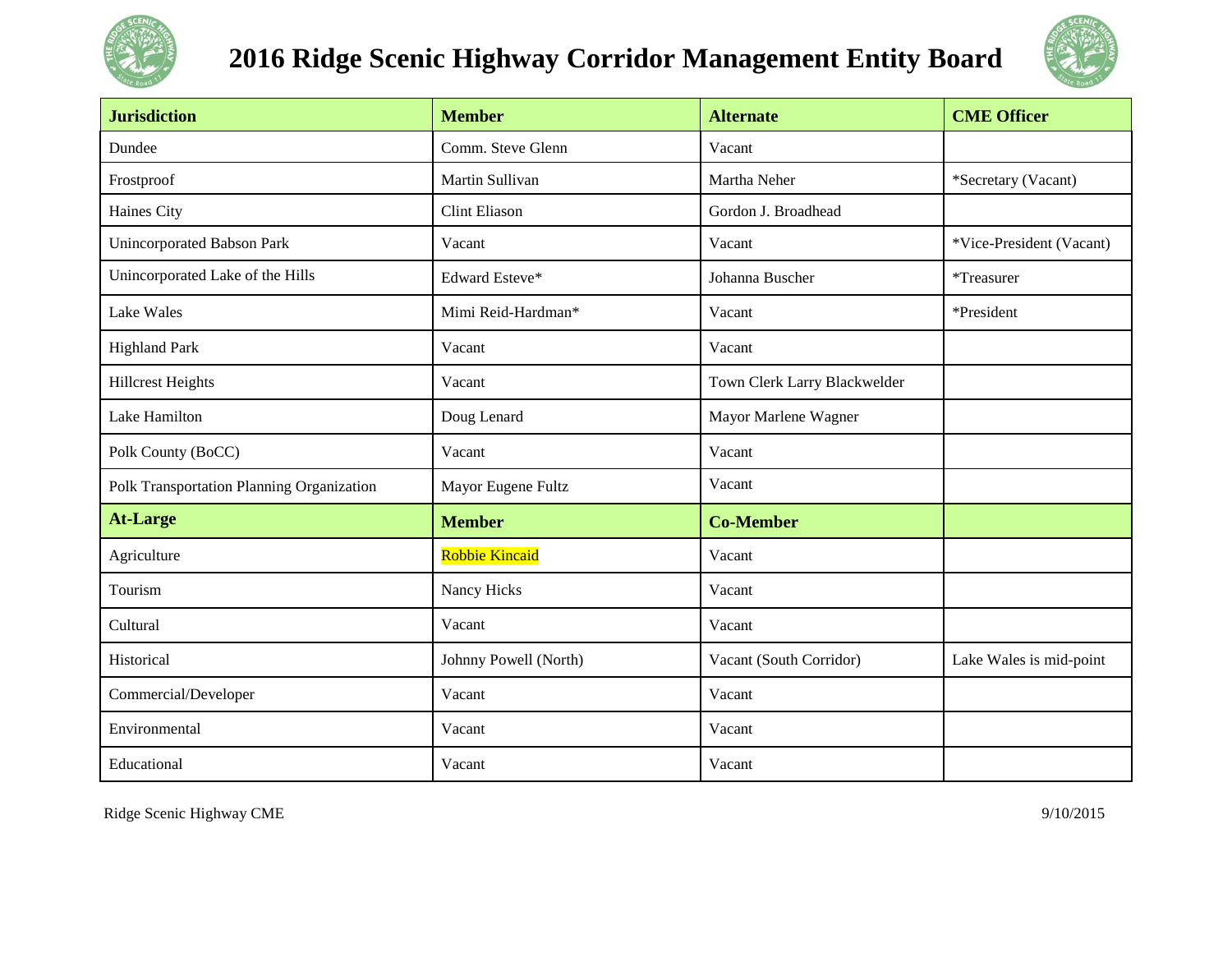

# **2016 Ridge Scenic Highway Corridor Management Entity Board**



| <b>Jurisdiction</b>                       | <b>Member</b>         | <b>Alternate</b>             | <b>CME Officer</b>       |
|-------------------------------------------|-----------------------|------------------------------|--------------------------|
| Dundee                                    | Comm. Steve Glenn     | Vacant                       |                          |
| Frostproof                                | Martin Sullivan       | Martha Neher                 | *Secretary (Vacant)      |
| Haines City                               | <b>Clint Eliason</b>  | Gordon J. Broadhead          |                          |
| Unincorporated Babson Park                | Vacant                | Vacant                       | *Vice-President (Vacant) |
| Unincorporated Lake of the Hills          | Edward Esteve*        | Johanna Buscher              | *Treasurer               |
| <b>Lake Wales</b>                         | Mimi Reid-Hardman*    | Vacant                       | *President               |
| <b>Highland Park</b>                      | Vacant                | Vacant                       |                          |
| <b>Hillcrest Heights</b>                  | Vacant                | Town Clerk Larry Blackwelder |                          |
| Lake Hamilton                             | Doug Lenard           | Mayor Marlene Wagner         |                          |
| Polk County (BoCC)                        | Vacant                | Vacant                       |                          |
| Polk Transportation Planning Organization | Mayor Eugene Fultz    | Vacant                       |                          |
| <b>At-Large</b>                           | <b>Member</b>         | <b>Co-Member</b>             |                          |
| Agriculture                               | <b>Robbie Kincaid</b> | Vacant                       |                          |
| Tourism                                   | Nancy Hicks           | Vacant                       |                          |
| Cultural                                  | Vacant                | Vacant                       |                          |
| Historical                                | Johnny Powell (North) | Vacant (South Corridor)      | Lake Wales is mid-point  |
| Commercial/Developer                      | Vacant                | Vacant                       |                          |
| Environmental                             | Vacant                | Vacant                       |                          |
| Educational                               | Vacant                | Vacant                       |                          |

Ridge Scenic Highway CME 9/10/2015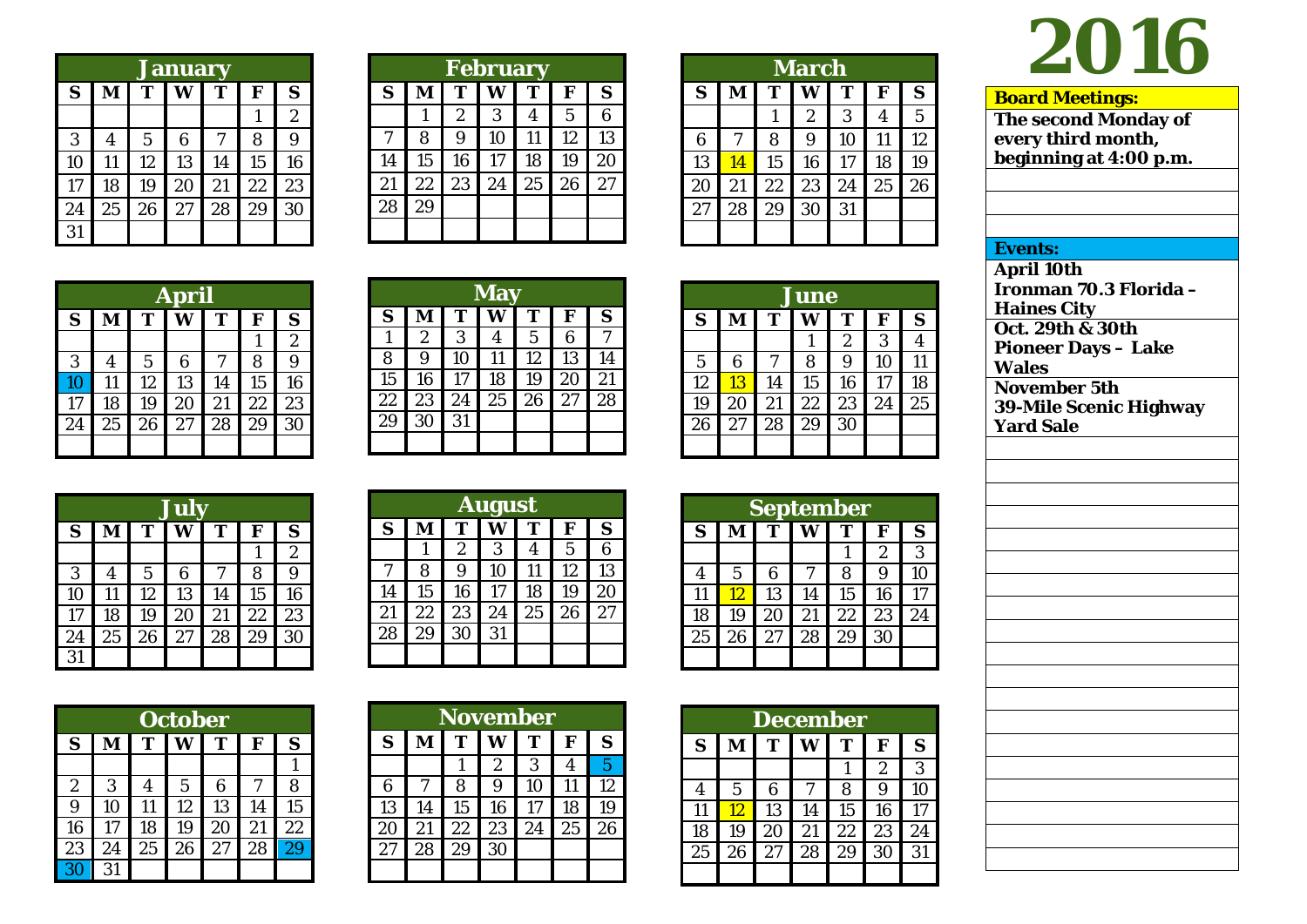|    | <b>January</b> |                |    |    |    |                |  |  |  |  |
|----|----------------|----------------|----|----|----|----------------|--|--|--|--|
| S  | M              | T              | W  | T  | F  | S              |  |  |  |  |
|    |                |                |    |    | 1  | $\overline{2}$ |  |  |  |  |
| 3  | 4              | $\overline{5}$ | 6  | 7  | 8  | 9              |  |  |  |  |
| 10 | 11             | 12             | 13 | 14 | 15 | 16             |  |  |  |  |
| 17 | 18             | 19             | 20 | 21 | 22 | 23             |  |  |  |  |
| 24 | 25             | 26             | 27 | 28 | 29 | 30             |  |  |  |  |
| 31 |                |                |    |    |    |                |  |  |  |  |

|    | <b>February</b> |                  |    |    |    |    |  |  |  |  |
|----|-----------------|------------------|----|----|----|----|--|--|--|--|
| S  | M               | T                | W  | T  | F  | S  |  |  |  |  |
|    |                 | $\boldsymbol{2}$ | 3  | 4  | 5  | 6  |  |  |  |  |
| 7  | 8               | 9                | 10 | 11 | 12 | 13 |  |  |  |  |
| 14 | 15              | 16               | 17 | 18 | 19 | 20 |  |  |  |  |
| 21 | 22              | 23               | 24 | 25 | 26 | 27 |  |  |  |  |
| 28 | 29              |                  |    |    |    |    |  |  |  |  |
|    |                 |                  |    |    |    |    |  |  |  |  |

| <b>March</b> |    |    |    |    |    |    |  |  |  |
|--------------|----|----|----|----|----|----|--|--|--|
| S            | M  | T  | W  | T  | F  | S  |  |  |  |
|              |    |    | 2  | 3  | 4  | 5  |  |  |  |
| 6            | 7  | 8  | 9  | 10 | 11 | 12 |  |  |  |
| 13           | 14 | 15 | 16 | 17 | 18 | 19 |  |  |  |
| 20           | 21 | 22 | 23 | 24 | 25 | 26 |  |  |  |
| 27           | 28 | 29 | 30 | 31 |    |    |  |  |  |
|              |    |    |    |    |    |    |  |  |  |

|    | <b>June</b> |    |    |                |    |    |  |  |  |
|----|-------------|----|----|----------------|----|----|--|--|--|
| S  | M           | T  |    | T              | F  | S  |  |  |  |
|    |             |    |    | $\overline{2}$ | 3  |    |  |  |  |
| 5  | 6           | 7  | 8  | 9              | 10 | 11 |  |  |  |
| 12 | 13          | 14 | 15 | 16             | 17 | 18 |  |  |  |
| 19 | 20          | 21 | 22 | 23             | 24 | 25 |  |  |  |
| 26 | 27          | 28 | 29 | 30             |    |    |  |  |  |
|    |             |    |    |                |    |    |  |  |  |

| <b>September</b> |    |    |    |    |                  |    |  |  |
|------------------|----|----|----|----|------------------|----|--|--|
| S                | M  | т  | W  | T  | F                | S  |  |  |
|                  |    |    |    |    | $\boldsymbol{2}$ | 3  |  |  |
| 4                | 5  | 6  |    | 8  | 9                | 10 |  |  |
| 11               | 12 | 13 | 14 | 15 | 16               | 17 |  |  |
| 18               | 19 | 20 | 21 | 22 | 23               | 24 |  |  |
| 25               | 26 | 27 | 28 | 29 | 30               |    |  |  |
|                  |    |    |    |    |                  |    |  |  |

|    | <b>December</b> |    |    |    |                  |    |  |  |  |  |
|----|-----------------|----|----|----|------------------|----|--|--|--|--|
| S  | M               | T  | W  | т  | F                | S  |  |  |  |  |
|    |                 |    |    |    | $\boldsymbol{2}$ | 3  |  |  |  |  |
| 4  | 5               | 6  | 7  | 8  | 9                | 10 |  |  |  |  |
| 11 | 12              | 13 | 14 | 15 | 16               | 17 |  |  |  |  |
| 18 | 19              | 20 | 21 | 22 | 23               | 24 |  |  |  |  |
| 25 | 26              | 27 | 28 | 29 | 30               | 31 |  |  |  |  |
|    |                 |    |    |    |                  |    |  |  |  |  |

# **2016**

**Board Meetings:**

**Events: April 10th**

**Wales**

**Haines City**

**Oct. 2 9th & 30th Pioneer Days – Lake** 

**November 5th**

**Yard Sale**

**The second Monday of every third month, beginning at 4:00 p.m.**

**Ironman 70.3 Florida –**

**39 -Mile Scenic Highway** 

| <b>April</b> |    |             |    |    |    |                  |  |
|--------------|----|-------------|----|----|----|------------------|--|
| S            | M  | T           | W  | T  | F  | S                |  |
|              |    |             |    |    |    | $\boldsymbol{2}$ |  |
| 3            | 4  | $\mathbf 5$ | 6  |    | 8  | 9                |  |
| 10           | 11 | 12          | 13 | 14 | 15 | 16               |  |
| 17           | 18 | 19          | 20 | 21 | 22 | 23               |  |
| 24           | 25 | 26          | 27 | 28 | 29 | 30               |  |
|              |    |             |    |    |    |                  |  |

|    |                |    | <b>May</b> |                |    |    |
|----|----------------|----|------------|----------------|----|----|
| S  | M              | T  | Ŵ          | T              | F  | S  |
|    | $\overline{2}$ | 3  | 4          | $\overline{5}$ | 6  |    |
| 8  | 9              | 10 | 11         | 12             | 13 | 14 |
| 15 | 16             | 17 | 18         | 19             | 20 | 21 |
| 22 | 23             | 24 | 25         | 26             | 27 | 28 |
| 29 | 30             | 31 |            |                |    |    |
|    |                |    |            |                |    |    |

|    | July |                |    |    |    |                  |  |  |  |  |
|----|------|----------------|----|----|----|------------------|--|--|--|--|
| S  | M    | T              | W  | T  | F  | S                |  |  |  |  |
|    |      |                |    |    |    | $\boldsymbol{2}$ |  |  |  |  |
| 3  | 4    | $\overline{5}$ | 6  | 7  | 8  | 9                |  |  |  |  |
| 10 | 11   | 12             | 13 | 14 | 15 | 16               |  |  |  |  |
| 17 | 18   | 19             | 20 | 21 | 22 | 23               |  |  |  |  |
| 24 | 25   | 26             | 27 | 28 | 29 | 30               |  |  |  |  |
| 31 |      |                |    |    |    |                  |  |  |  |  |

|                  | <b>October</b> |    |                |    |    |    |  |  |  |  |
|------------------|----------------|----|----------------|----|----|----|--|--|--|--|
| S                | м              | T  | W              | T  | F  | S  |  |  |  |  |
|                  |                |    |                |    |    |    |  |  |  |  |
| $\boldsymbol{2}$ | 3              | 4  | $\overline{5}$ | 6  |    | 8  |  |  |  |  |
| 9                | 10             | 11 | 12             | 13 | 14 | 15 |  |  |  |  |
| 16               | 17             | 18 | 19             | 20 | 21 | 22 |  |  |  |  |
| 23               | 24             | 25 | 26             | 27 | 28 | 29 |  |  |  |  |
| 30               | 31             |    |                |    |    |    |  |  |  |  |

| S  | М  | т                | W                | т  | F              | S              |
|----|----|------------------|------------------|----|----------------|----------------|
|    | 1  | $\boldsymbol{2}$ | 3                | 4  | $\overline{5}$ | 6              |
| 7  | 8  | 9                | 10               | 11 | 12             | 13             |
| 14 | 15 | 16               | 17               | 18 | 19             | 20             |
| 21 | 22 | 23               | 24               | 25 | 26             | 27             |
| 28 | 29 | 30               | 31               |    |                |                |
|    |    |                  |                  |    |                |                |
|    |    |                  |                  |    |                |                |
|    |    |                  |                  |    |                |                |
|    |    |                  | November         |    |                |                |
| S  | M  | T                | W                | T  | F              | S              |
|    |    | 1                | $\boldsymbol{2}$ | 3  | 4              | $\overline{5}$ |
|    |    |                  |                  |    |                |                |

6 7 8 9 10 11 12 13 14 15 16 17 18 19 20 21 22 23 24 25 26

29

**August**

| S  |    | <b>September</b><br>т |    | т  | F  |  |
|----|----|-----------------------|----|----|----|--|
|    |    |                       |    |    |    |  |
|    |    |                       |    |    |    |  |
|    |    |                       |    |    |    |  |
| 26 | 27 | 28                    | 29 | 30 |    |  |
| 19 | 20 | 21                    | 22 | 23 | 24 |  |
| 12 | 13 | 14                    | 15 | 16 | 17 |  |

|                  | ember |                  |                  |
|------------------|-------|------------------|------------------|
| W                | T     | F                | $\mathbf S$      |
|                  | 1     | $\boldsymbol{2}$ | $\boldsymbol{3}$ |
| $\boldsymbol{7}$ | 8     | 9                | 10               |
| 14               | 15    | 16               | 17               |
| 21               | 22    | 23               | 24               |
| 28               | 29    | 30               |                  |
|                  |       |                  |                  |
|                  |       |                  |                  |
|                  |       |                  |                  |
|                  | ember |                  |                  |
| <b>***</b>       | m     |                  | ∼                |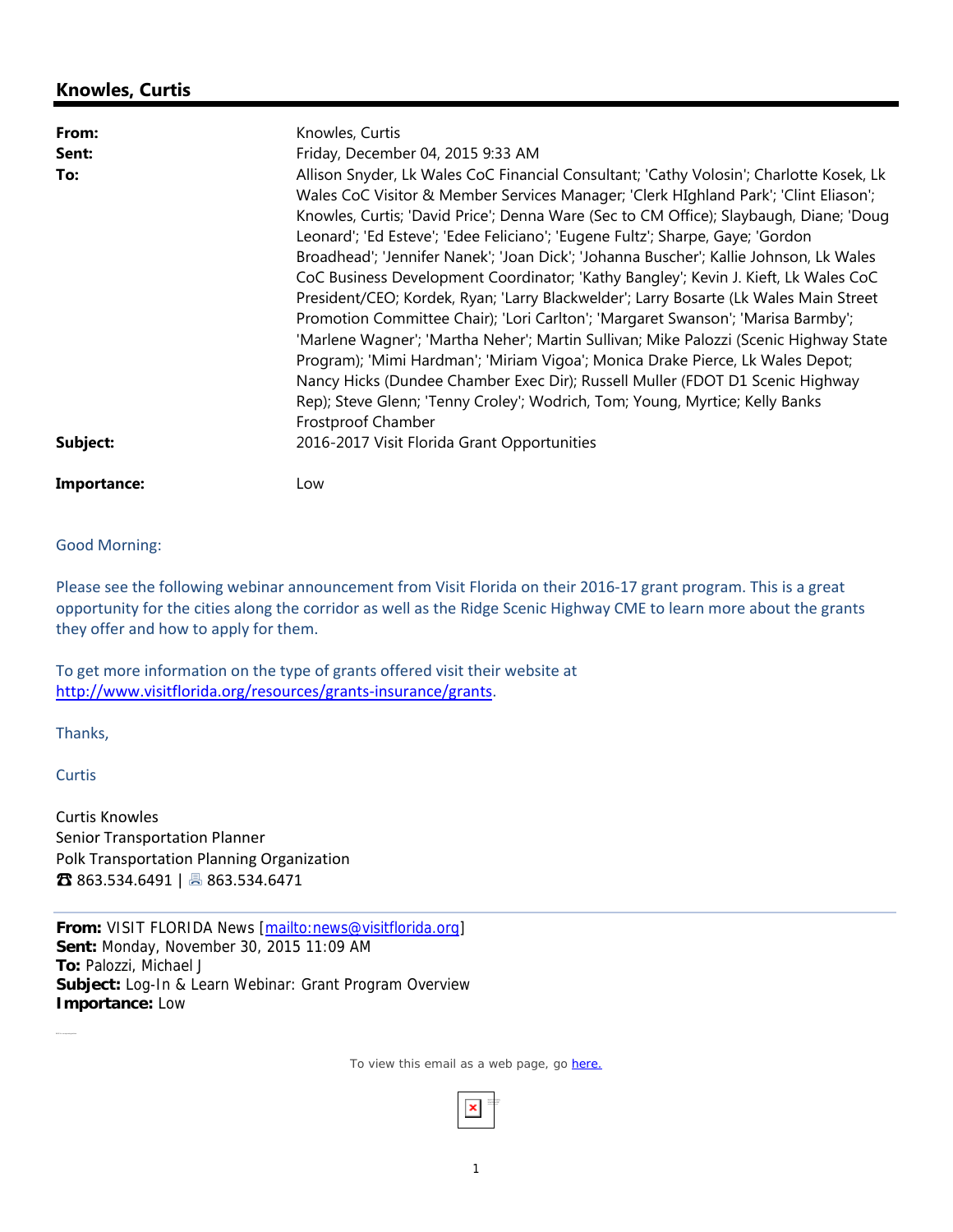# **Knowles, Curtis**

| From:       | Knowles, Curtis                                                                         |  |  |  |
|-------------|-----------------------------------------------------------------------------------------|--|--|--|
| Sent:       | Friday, December 04, 2015 9:33 AM                                                       |  |  |  |
| To:         | Allison Snyder, Lk Wales CoC Financial Consultant; 'Cathy Volosin'; Charlotte Kosek, Lk |  |  |  |
|             | Wales CoC Visitor & Member Services Manager; 'Clerk HIghland Park'; 'Clint Eliason';    |  |  |  |
|             | Knowles, Curtis; 'David Price'; Denna Ware (Sec to CM Office); Slaybaugh, Diane; 'Doug  |  |  |  |
|             | Leonard'; 'Ed Esteve'; 'Edee Feliciano'; 'Eugene Fultz'; Sharpe, Gaye; 'Gordon          |  |  |  |
|             | Broadhead'; 'Jennifer Nanek'; 'Joan Dick'; 'Johanna Buscher'; Kallie Johnson, Lk Wales  |  |  |  |
|             | CoC Business Development Coordinator; 'Kathy Bangley'; Kevin J. Kieft, Lk Wales CoC     |  |  |  |
|             | President/CEO; Kordek, Ryan; 'Larry Blackwelder'; Larry Bosarte (Lk Wales Main Street   |  |  |  |
|             | Promotion Committee Chair); 'Lori Carlton'; 'Margaret Swanson'; 'Marisa Barmby';        |  |  |  |
|             | 'Marlene Wagner'; 'Martha Neher'; Martin Sullivan; Mike Palozzi (Scenic Highway State   |  |  |  |
|             | Program); 'Mimi Hardman'; 'Miriam Vigoa'; Monica Drake Pierce, Lk Wales Depot;          |  |  |  |
|             | Nancy Hicks (Dundee Chamber Exec Dir); Russell Muller (FDOT D1 Scenic Highway           |  |  |  |
|             | Rep); Steve Glenn; 'Tenny Croley'; Wodrich, Tom; Young, Myrtice; Kelly Banks            |  |  |  |
|             | Frostproof Chamber                                                                      |  |  |  |
| Subject:    | 2016-2017 Visit Florida Grant Opportunities                                             |  |  |  |
| Importance: | Low                                                                                     |  |  |  |

Good Morning:

Please see the following webinar announcement from Visit Florida on their 2016‐17 grant program. This is a great opportunity for the cities along the corridor as well as the Ridge Scenic Highway CME to learn more about the grants they offer and how to apply for them.

To get more information on the type of grants offered visit their website at http://www.visitflorida.org/resources/grants-insurance/grants.

Thanks,

**Curtis** 

Curtis Knowles Senior Transportation Planner Polk Transportation Planning Organization ☎ 863.534.6491 | 863.534.6471

From: VISIT FLORIDA News [mailto:news@visitflorida.org] **Sent:** Monday, November 30, 2015 11:09 AM **To:** Palozzi, Michael J **Subject:** Log-In & Learn Webinar: Grant Program Overview **Importance:** Low

To view this email as a web page, go here.

Right-click here to download pictures. To help protect your privacy, Outlook prevented auto matic downlo ad o f this picture from the Internet.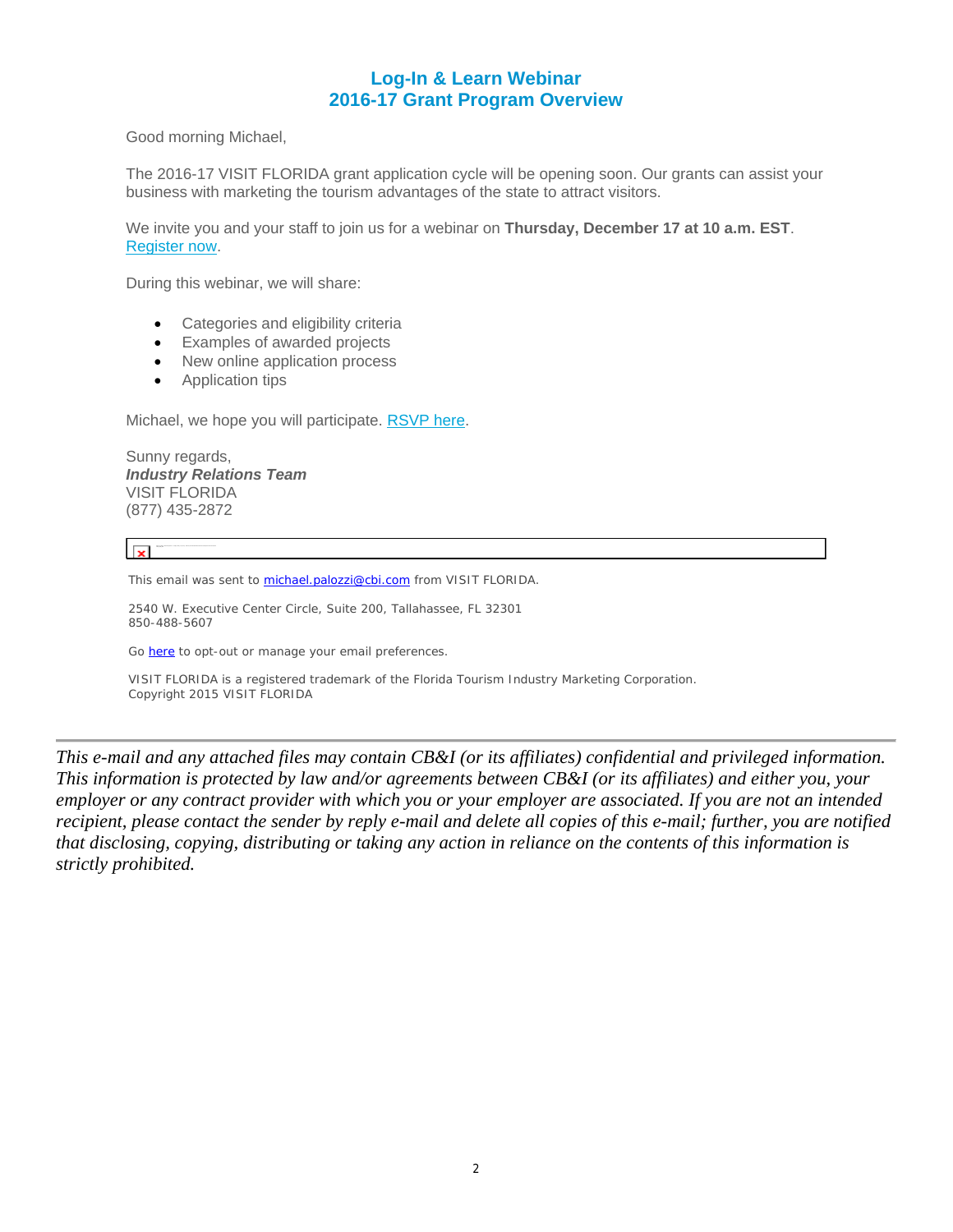# **Log-In & Learn Webinar 2016-17 Grant Program Overview**

Good morning Michael,

The 2016-17 VISIT FLORIDA grant application cycle will be opening soon. Our grants can assist your business with marketing the tourism advantages of the state to attract visitors.

We invite you and your staff to join us for a webinar on **Thursday, December 17 at 10 a.m. EST**. Register now.

During this webinar, we will share:

- Categories and eligibility criteria
- Examples of awarded projects
- New online application process
- Application tips

Michael, we hope you will participate. RSVP here.

Sunny regards, *Industry Relations Team* VISIT FLORIDA (877) 435-2872

 $\overline{R}$ 

This email was sent to michael.palozzi@cbi.com from VISIT FLORIDA.

2540 W. Executive Center Circle, Suite 200, Tallahassee, FL 32301 850-488-5607

Go here to opt-out or manage your email preferences.

VISIT FLORIDA is a registered trademark of the Florida Tourism Industry Marketing Corporation. Copyright 2015 VISIT FLORIDA

*This e-mail and any attached files may contain CB&I (or its affiliates) confidential and privileged information. This information is protected by law and/or agreements between CB&I (or its affiliates) and either you, your employer or any contract provider with which you or your employer are associated. If you are not an intended recipient, please contact the sender by reply e-mail and delete all copies of this e-mail; further, you are notified that disclosing, copying, distributing or taking any action in reliance on the contents of this information is strictly prohibited.*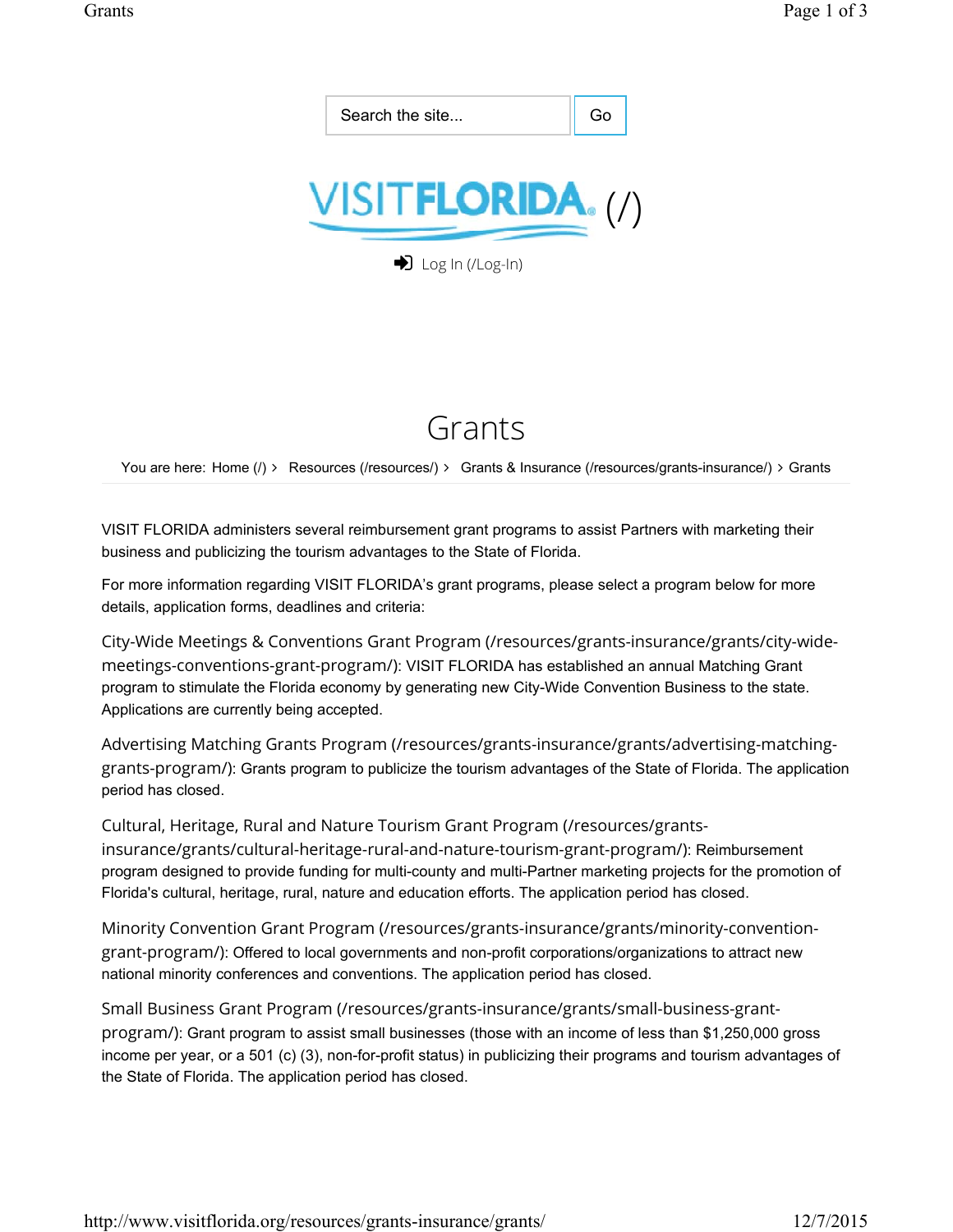

# Grants

You are here: Home (/) ∠ Resources (/resources/) ∠ Grants & Insurance (/resources/grants-insurance/) ∠ Grants

VISIT FLORIDA administers several reimbursement grant programs to assist Partners with marketing their business and publicizing the tourism advantages to the State of Florida.

For more information regarding VISIT FLORIDA's grant programs, please select a program below for more details, application forms, deadlines and criteria:

City-Wide Meetings & Conventions Grant Program (/resources/grants-insurance/grants/city-widemeetings-conventions-grant-program/): VISIT FLORIDA has established an annual Matching Grant program to stimulate the Florida economy by generating new City-Wide Convention Business to the state. Applications are currently being accepted.

Advertising Matching Grants Program (/resources/grants-insurance/grants/advertising-matchinggrants-program/): Grants program to publicize the tourism advantages of the State of Florida. The application period has closed.

Cultural, Heritage, Rural and Nature Tourism Grant Program (/resources/grantsinsurance/grants/cultural-heritage-rural-and-nature-tourism-grant-program/): Reimbursement program designed to provide funding for multi-county and multi-Partner marketing projects for the promotion of Florida's cultural, heritage, rural, nature and education efforts. The application period has closed.

Minority Convention Grant Program (/resources/grants-insurance/grants/minority-conventiongrant-program/): Offered to local governments and non-profit corporations/organizations to attract new national minority conferences and conventions. The application period has closed.

Small Business Grant Program (/resources/grants-insurance/grants/small-business-grantprogram/): Grant program to assist small businesses (those with an income of less than \$1,250,000 gross income per year, or a 501 (c) (3), non-for-profit status) in publicizing their programs and tourism advantages of the State of Florida. The application period has closed.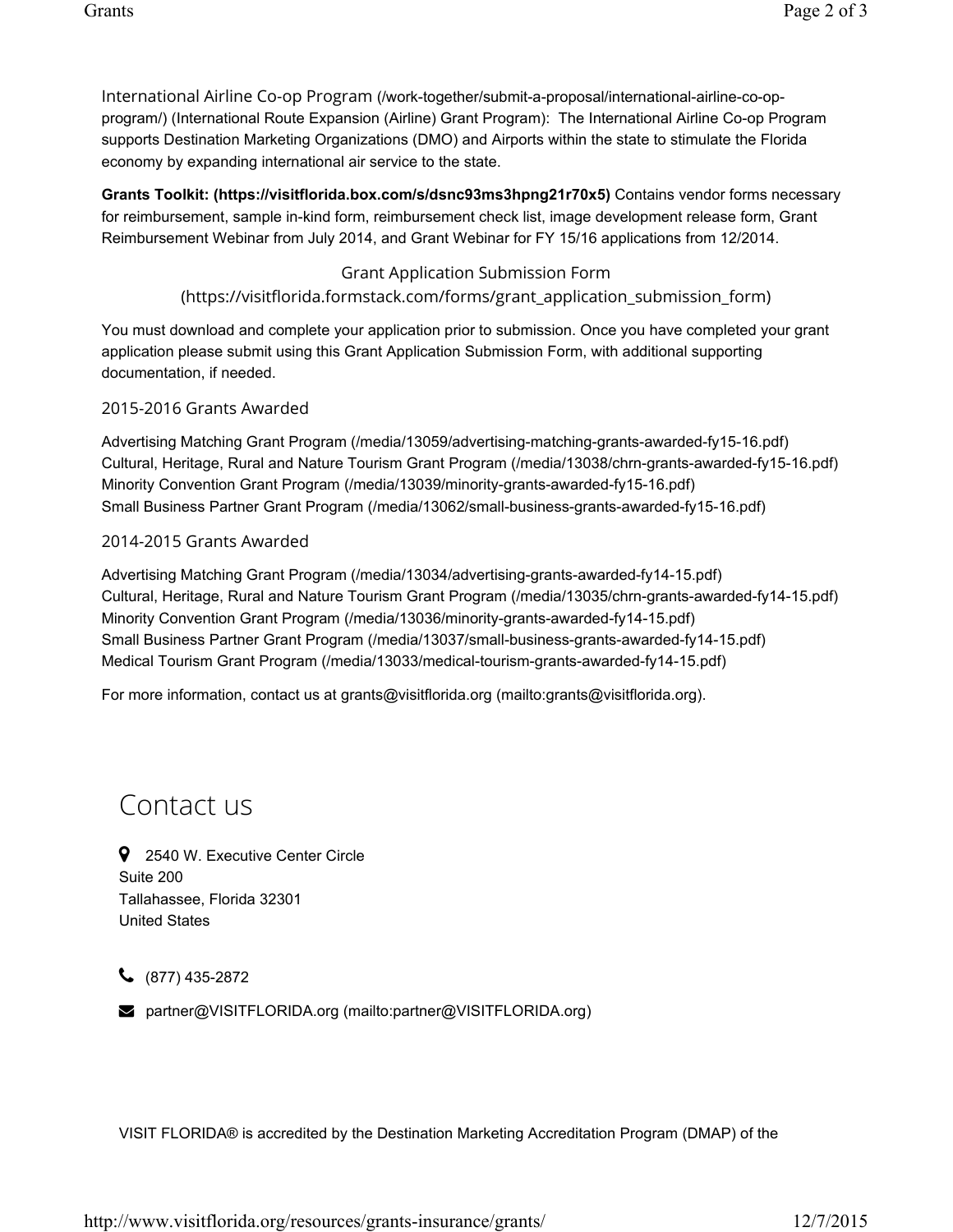International Airline Co-op Program (/work-together/submit-a-proposal/international-airline-co-opprogram/) (International Route Expansion (Airline) Grant Program): The International Airline Co-op Program supports Destination Marketing Organizations (DMO) and Airports within the state to stimulate the Florida economy by expanding international air service to the state.

**Grants Toolkit: (https://visitflorida.box.com/s/dsnc93ms3hpng21r70x5)** Contains vendor forms necessary for reimbursement, sample in-kind form, reimbursement check list, image development release form, Grant Reimbursement Webinar from July 2014, and Grant Webinar for FY 15/16 applications from 12/2014.

# Grant Application Submission Form

# (https://visitflorida.formstack.com/forms/grant\_application\_submission\_form)

You must download and complete your application prior to submission. Once you have completed your grant application please submit using this Grant Application Submission Form, with additional supporting documentation, if needed.

## 2015-2016 Grants Awarded

Advertising Matching Grant Program (/media/13059/advertising-matching-grants-awarded-fy15-16.pdf) Cultural, Heritage, Rural and Nature Tourism Grant Program (/media/13038/chrn-grants-awarded-fy15-16.pdf) Minority Convention Grant Program (/media/13039/minority-grants-awarded-fy15-16.pdf) Small Business Partner Grant Program (/media/13062/small-business-grants-awarded-fy15-16.pdf)

## 2014-2015 Grants Awarded

Advertising Matching Grant Program (/media/13034/advertising-grants-awarded-fy14-15.pdf) Cultural, Heritage, Rural and Nature Tourism Grant Program (/media/13035/chrn-grants-awarded-fy14-15.pdf) Minority Convention Grant Program (/media/13036/minority-grants-awarded-fy14-15.pdf) Small Business Partner Grant Program (/media/13037/small-business-grants-awarded-fy14-15.pdf) Medical Tourism Grant Program (/media/13033/medical-tourism-grants-awarded-fy14-15.pdf)

For more information, contact us at grants@visitflorida.org (mailto:grants@visitflorida.org).

# Contact us

**9** 2540 W. Executive Center Circle Suite 200 Tallahassee, Florida 32301 United States

 $\bigcup$  (877) 435-2872

**2** partner@VISITFLORIDA.org (mailto:partner@VISITFLORIDA.org)

VISIT FLORIDA® is accredited by the Destination Marketing Accreditation Program (DMAP) of the